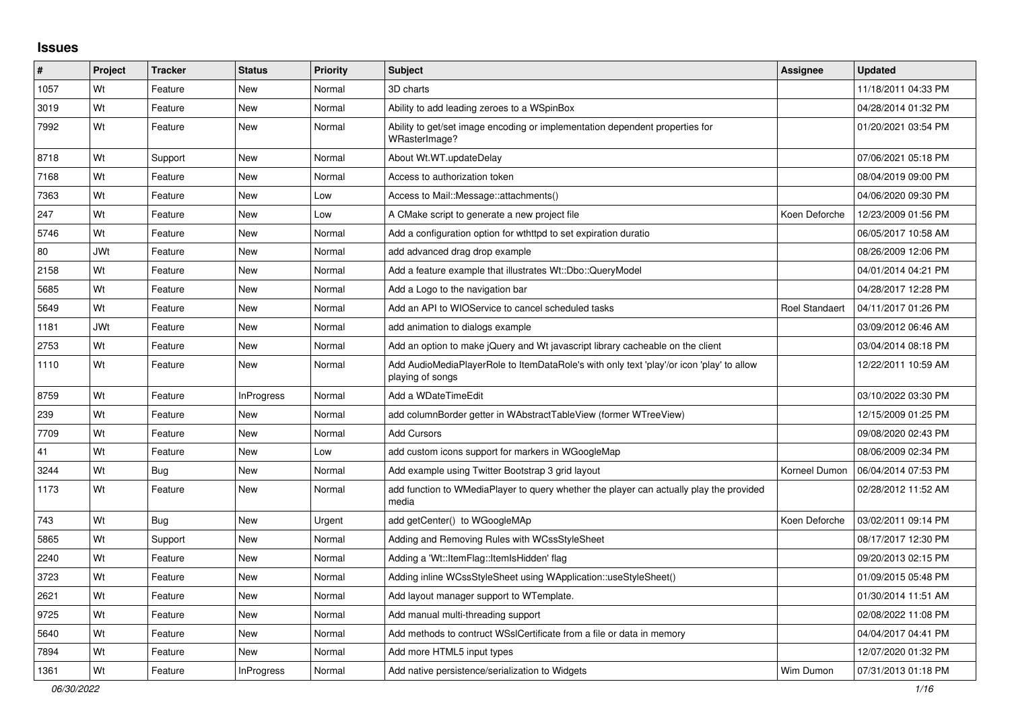## **Issues**

| #    | Project    | <b>Tracker</b> | <b>Status</b>     | <b>Priority</b> | <b>Subject</b>                                                                                               | <b>Assignee</b>       | <b>Updated</b>      |
|------|------------|----------------|-------------------|-----------------|--------------------------------------------------------------------------------------------------------------|-----------------------|---------------------|
| 1057 | Wt         | Feature        | <b>New</b>        | Normal          | 3D charts                                                                                                    |                       | 11/18/2011 04:33 PM |
| 3019 | Wt         | Feature        | <b>New</b>        | Normal          | Ability to add leading zeroes to a WSpinBox                                                                  |                       | 04/28/2014 01:32 PM |
| 7992 | Wt         | Feature        | New               | Normal          | Ability to get/set image encoding or implementation dependent properties for<br>WRasterImage?                |                       | 01/20/2021 03:54 PM |
| 8718 | Wt         | Support        | <b>New</b>        | Normal          | About Wt.WT.updateDelay                                                                                      |                       | 07/06/2021 05:18 PM |
| 7168 | Wt         | Feature        | New               | Normal          | Access to authorization token                                                                                |                       | 08/04/2019 09:00 PM |
| 7363 | Wt         | Feature        | New               | Low             | Access to Mail::Message::attachments()                                                                       |                       | 04/06/2020 09:30 PM |
| 247  | Wt         | Feature        | New               | Low             | A CMake script to generate a new project file                                                                | Koen Deforche         | 12/23/2009 01:56 PM |
| 5746 | Wt         | Feature        | <b>New</b>        | Normal          | Add a configuration option for wthttpd to set expiration duratio                                             |                       | 06/05/2017 10:58 AM |
| 80   | <b>JWt</b> | Feature        | New               | Normal          | add advanced drag drop example                                                                               |                       | 08/26/2009 12:06 PM |
| 2158 | Wt         | Feature        | New               | Normal          | Add a feature example that illustrates Wt::Dbo::QueryModel                                                   |                       | 04/01/2014 04:21 PM |
| 5685 | Wt         | Feature        | <b>New</b>        | Normal          | Add a Logo to the navigation bar                                                                             |                       | 04/28/2017 12:28 PM |
| 5649 | Wt         | Feature        | <b>New</b>        | Normal          | Add an API to WIOService to cancel scheduled tasks                                                           | <b>Roel Standaert</b> | 04/11/2017 01:26 PM |
| 1181 | <b>JWt</b> | Feature        | New               | Normal          | add animation to dialogs example                                                                             |                       | 03/09/2012 06:46 AM |
| 2753 | Wt         | Feature        | New               | Normal          | Add an option to make jQuery and Wt javascript library cacheable on the client                               |                       | 03/04/2014 08:18 PM |
| 1110 | Wt         | Feature        | New               | Normal          | Add AudioMediaPlayerRole to ItemDataRole's with only text 'play'/or icon 'play' to allow<br>playing of songs |                       | 12/22/2011 10:59 AM |
| 8759 | Wt         | Feature        | InProgress        | Normal          | Add a WDateTimeEdit                                                                                          |                       | 03/10/2022 03:30 PM |
| 239  | Wt         | Feature        | New               | Normal          | add columnBorder getter in WAbstractTableView (former WTreeView)                                             |                       | 12/15/2009 01:25 PM |
| 7709 | Wt         | Feature        | <b>New</b>        | Normal          | <b>Add Cursors</b>                                                                                           |                       | 09/08/2020 02:43 PM |
| 41   | Wt         | Feature        | New               | Low             | add custom icons support for markers in WGoogleMap                                                           |                       | 08/06/2009 02:34 PM |
| 3244 | Wt         | Bug            | <b>New</b>        | Normal          | Add example using Twitter Bootstrap 3 grid layout                                                            | Korneel Dumon         | 06/04/2014 07:53 PM |
| 1173 | Wt         | Feature        | New               | Normal          | add function to WMediaPlayer to query whether the player can actually play the provided<br>media             |                       | 02/28/2012 11:52 AM |
| 743  | Wt         | Bug            | <b>New</b>        | Urgent          | add getCenter() to WGoogleMAp                                                                                | Koen Deforche         | 03/02/2011 09:14 PM |
| 5865 | Wt         | Support        | <b>New</b>        | Normal          | Adding and Removing Rules with WCssStyleSheet                                                                |                       | 08/17/2017 12:30 PM |
| 2240 | Wt         | Feature        | New               | Normal          | Adding a 'Wt::ItemFlag::ItemIsHidden' flag                                                                   |                       | 09/20/2013 02:15 PM |
| 3723 | Wt         | Feature        | New               | Normal          | Adding inline WCssStyleSheet using WApplication::useStyleSheet()                                             |                       | 01/09/2015 05:48 PM |
| 2621 | Wt         | Feature        | New               | Normal          | Add layout manager support to WTemplate.                                                                     |                       | 01/30/2014 11:51 AM |
| 9725 | Wt         | Feature        | <b>New</b>        | Normal          | Add manual multi-threading support                                                                           |                       | 02/08/2022 11:08 PM |
| 5640 | Wt         | Feature        | New               | Normal          | Add methods to contruct WSslCertificate from a file or data in memory                                        |                       | 04/04/2017 04:41 PM |
| 7894 | Wt         | Feature        | <b>New</b>        | Normal          | Add more HTML5 input types                                                                                   |                       | 12/07/2020 01:32 PM |
| 1361 | Wt         | Feature        | <b>InProgress</b> | Normal          | Add native persistence/serialization to Widgets                                                              | Wim Dumon             | 07/31/2013 01:18 PM |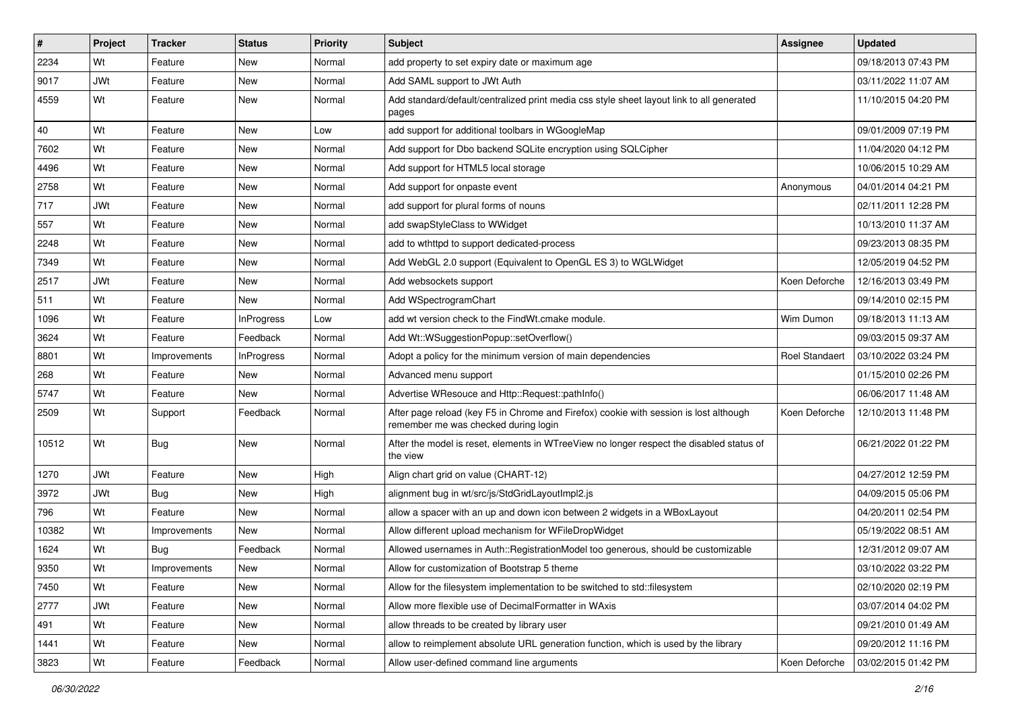| #     | Project    | <b>Tracker</b> | <b>Status</b>     | <b>Priority</b> | Subject                                                                                                                       | Assignee              | <b>Updated</b>      |
|-------|------------|----------------|-------------------|-----------------|-------------------------------------------------------------------------------------------------------------------------------|-----------------------|---------------------|
| 2234  | Wt         | Feature        | New               | Normal          | add property to set expiry date or maximum age                                                                                |                       | 09/18/2013 07:43 PM |
| 9017  | <b>JWt</b> | Feature        | New               | Normal          | Add SAML support to JWt Auth                                                                                                  |                       | 03/11/2022 11:07 AM |
| 4559  | Wt         | Feature        | New               | Normal          | Add standard/default/centralized print media css style sheet layout link to all generated<br>pages                            |                       | 11/10/2015 04:20 PM |
| 40    | Wt         | Feature        | New               | Low             | add support for additional toolbars in WGoogleMap                                                                             |                       | 09/01/2009 07:19 PM |
| 7602  | Wt         | Feature        | New               | Normal          | Add support for Dbo backend SQLite encryption using SQLCipher                                                                 |                       | 11/04/2020 04:12 PM |
| 4496  | Wt         | Feature        | New               | Normal          | Add support for HTML5 local storage                                                                                           |                       | 10/06/2015 10:29 AM |
| 2758  | Wt         | Feature        | New               | Normal          | Add support for onpaste event                                                                                                 | Anonymous             | 04/01/2014 04:21 PM |
| 717   | <b>JWt</b> | Feature        | New               | Normal          | add support for plural forms of nouns                                                                                         |                       | 02/11/2011 12:28 PM |
| 557   | Wt         | Feature        | New               | Normal          | add swapStyleClass to WWidget                                                                                                 |                       | 10/13/2010 11:37 AM |
| 2248  | Wt         | Feature        | New               | Normal          | add to wthttpd to support dedicated-process                                                                                   |                       | 09/23/2013 08:35 PM |
| 7349  | Wt         | Feature        | New               | Normal          | Add WebGL 2.0 support (Equivalent to OpenGL ES 3) to WGLWidget                                                                |                       | 12/05/2019 04:52 PM |
| 2517  | <b>JWt</b> | Feature        | New               | Normal          | Add websockets support                                                                                                        | Koen Deforche         | 12/16/2013 03:49 PM |
| 511   | Wt         | Feature        | New               | Normal          | Add WSpectrogramChart                                                                                                         |                       | 09/14/2010 02:15 PM |
| 1096  | Wt         | Feature        | <b>InProgress</b> | Low             | add wt version check to the FindWt.cmake module.                                                                              | Wim Dumon             | 09/18/2013 11:13 AM |
| 3624  | Wt         | Feature        | Feedback          | Normal          | Add Wt::WSuggestionPopup::setOverflow()                                                                                       |                       | 09/03/2015 09:37 AM |
| 8801  | Wt         | Improvements   | <b>InProgress</b> | Normal          | Adopt a policy for the minimum version of main dependencies                                                                   | <b>Roel Standaert</b> | 03/10/2022 03:24 PM |
| 268   | Wt         | Feature        | New               | Normal          | Advanced menu support                                                                                                         |                       | 01/15/2010 02:26 PM |
| 5747  | Wt         | Feature        | New               | Normal          | Advertise WResouce and Http::Request::pathInfo()                                                                              |                       | 06/06/2017 11:48 AM |
| 2509  | Wt         | Support        | Feedback          | Normal          | After page reload (key F5 in Chrome and Firefox) cookie with session is lost although<br>remember me was checked during login | Koen Deforche         | 12/10/2013 11:48 PM |
| 10512 | Wt         | Bug            | New               | Normal          | After the model is reset, elements in WTreeView no longer respect the disabled status of<br>the view                          |                       | 06/21/2022 01:22 PM |
| 1270  | <b>JWt</b> | Feature        | New               | High            | Align chart grid on value (CHART-12)                                                                                          |                       | 04/27/2012 12:59 PM |
| 3972  | <b>JWt</b> | Bug            | New               | High            | alignment bug in wt/src/js/StdGridLayoutImpl2.js                                                                              |                       | 04/09/2015 05:06 PM |
| 796   | Wt         | Feature        | New               | Normal          | allow a spacer with an up and down icon between 2 widgets in a WBoxLayout                                                     |                       | 04/20/2011 02:54 PM |
| 10382 | Wt         | Improvements   | New               | Normal          | Allow different upload mechanism for WFileDropWidget                                                                          |                       | 05/19/2022 08:51 AM |
| 1624  | Wt         | Bug            | Feedback          | Normal          | Allowed usernames in Auth::RegistrationModel too generous, should be customizable                                             |                       | 12/31/2012 09:07 AM |
| 9350  | Wt         | Improvements   | New               | Normal          | Allow for customization of Bootstrap 5 theme                                                                                  |                       | 03/10/2022 03:22 PM |
| 7450  | Wt         | Feature        | New               | Normal          | Allow for the filesystem implementation to be switched to std::filesystem                                                     |                       | 02/10/2020 02:19 PM |
| 2777  | JWt        | Feature        | New               | Normal          | Allow more flexible use of DecimalFormatter in WAxis                                                                          |                       | 03/07/2014 04:02 PM |
| 491   | Wt         | Feature        | New               | Normal          | allow threads to be created by library user                                                                                   |                       | 09/21/2010 01:49 AM |
| 1441  | Wt         | Feature        | New               | Normal          | allow to reimplement absolute URL generation function, which is used by the library                                           |                       | 09/20/2012 11:16 PM |
| 3823  | Wt         | Feature        | Feedback          | Normal          | Allow user-defined command line arguments                                                                                     | Koen Deforche         | 03/02/2015 01:42 PM |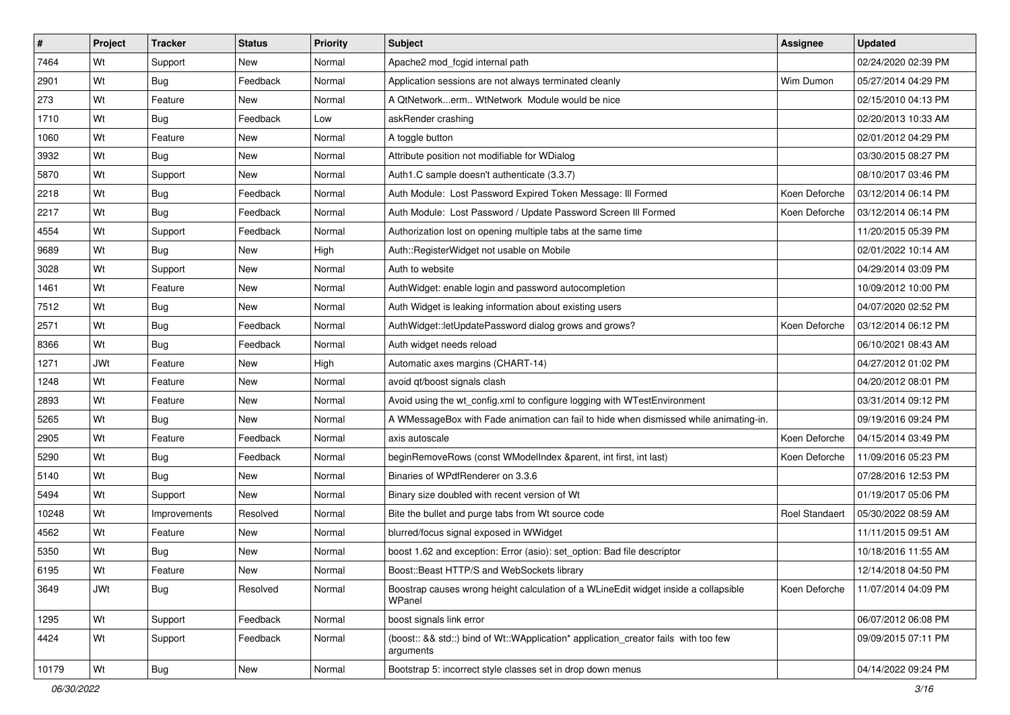| #     | Project    | <b>Tracker</b> | <b>Status</b> | <b>Priority</b> | Subject                                                                                          | Assignee              | <b>Updated</b>      |
|-------|------------|----------------|---------------|-----------------|--------------------------------------------------------------------------------------------------|-----------------------|---------------------|
| 7464  | Wt         | Support        | New           | Normal          | Apache2 mod_fcgid internal path                                                                  |                       | 02/24/2020 02:39 PM |
| 2901  | Wt         | Bug            | Feedback      | Normal          | Application sessions are not always terminated cleanly                                           | Wim Dumon             | 05/27/2014 04:29 PM |
| 273   | Wt         | Feature        | New           | Normal          | A QtNetworkerm WtNetwork Module would be nice                                                    |                       | 02/15/2010 04:13 PM |
| 1710  | Wt         | Bug            | Feedback      | Low             | askRender crashing                                                                               |                       | 02/20/2013 10:33 AM |
| 1060  | Wt         | Feature        | New           | Normal          | A toggle button                                                                                  |                       | 02/01/2012 04:29 PM |
| 3932  | Wt         | Bug            | New           | Normal          | Attribute position not modifiable for WDialog                                                    |                       | 03/30/2015 08:27 PM |
| 5870  | Wt         | Support        | New           | Normal          | Auth1.C sample doesn't authenticate (3.3.7)                                                      |                       | 08/10/2017 03:46 PM |
| 2218  | Wt         | Bug            | Feedback      | Normal          | Auth Module: Lost Password Expired Token Message: III Formed                                     | Koen Deforche         | 03/12/2014 06:14 PM |
| 2217  | Wt         | Bug            | Feedback      | Normal          | Auth Module: Lost Password / Update Password Screen III Formed                                   | Koen Deforche         | 03/12/2014 06:14 PM |
| 4554  | Wt         | Support        | Feedback      | Normal          | Authorization lost on opening multiple tabs at the same time                                     |                       | 11/20/2015 05:39 PM |
| 9689  | Wt         | Bug            | New           | High            | Auth::RegisterWidget not usable on Mobile                                                        |                       | 02/01/2022 10:14 AM |
| 3028  | Wt         | Support        | New           | Normal          | Auth to website                                                                                  |                       | 04/29/2014 03:09 PM |
| 1461  | Wt         | Feature        | New           | Normal          | AuthWidget: enable login and password autocompletion                                             |                       | 10/09/2012 10:00 PM |
| 7512  | Wt         | Bug            | New           | Normal          | Auth Widget is leaking information about existing users                                          |                       | 04/07/2020 02:52 PM |
| 2571  | Wt         | Bug            | Feedback      | Normal          | AuthWidget::letUpdatePassword dialog grows and grows?                                            | Koen Deforche         | 03/12/2014 06:12 PM |
| 8366  | Wt         | Bug            | Feedback      | Normal          | Auth widget needs reload                                                                         |                       | 06/10/2021 08:43 AM |
| 1271  | <b>JWt</b> | Feature        | New           | High            | Automatic axes margins (CHART-14)                                                                |                       | 04/27/2012 01:02 PM |
| 1248  | Wt         | Feature        | New           | Normal          | avoid qt/boost signals clash                                                                     |                       | 04/20/2012 08:01 PM |
| 2893  | Wt         | Feature        | New           | Normal          | Avoid using the wt_config.xml to configure logging with WTestEnvironment                         |                       | 03/31/2014 09:12 PM |
| 5265  | Wt         | Bug            | New           | Normal          | A WMessageBox with Fade animation can fail to hide when dismissed while animating-in.            |                       | 09/19/2016 09:24 PM |
| 2905  | Wt         | Feature        | Feedback      | Normal          | axis autoscale                                                                                   | Koen Deforche         | 04/15/2014 03:49 PM |
| 5290  | Wt         | <b>Bug</b>     | Feedback      | Normal          | beginRemoveRows (const WModelIndex &parent, int first, int last)                                 | Koen Deforche         | 11/09/2016 05:23 PM |
| 5140  | Wt         | Bug            | New           | Normal          | Binaries of WPdfRenderer on 3.3.6                                                                |                       | 07/28/2016 12:53 PM |
| 5494  | Wt         | Support        | New           | Normal          | Binary size doubled with recent version of Wt                                                    |                       | 01/19/2017 05:06 PM |
| 10248 | Wt         | Improvements   | Resolved      | Normal          | Bite the bullet and purge tabs from Wt source code                                               | <b>Roel Standaert</b> | 05/30/2022 08:59 AM |
| 4562  | Wt         | Feature        | <b>New</b>    | Normal          | blurred/focus signal exposed in WWidget                                                          |                       | 11/11/2015 09:51 AM |
| 5350  | Wt         | <b>Bug</b>     | New           | Normal          | boost 1.62 and exception: Error (asio): set option: Bad file descriptor                          |                       | 10/18/2016 11:55 AM |
| 6195  | Wt         | Feature        | New           | Normal          | Boost::Beast HTTP/S and WebSockets library                                                       |                       | 12/14/2018 04:50 PM |
| 3649  | JWt        | Bug            | Resolved      | Normal          | Boostrap causes wrong height calculation of a WLineEdit widget inside a collapsible<br>WPanel    | Koen Deforche         | 11/07/2014 04:09 PM |
| 1295  | Wt         | Support        | Feedback      | Normal          | boost signals link error                                                                         |                       | 06/07/2012 06:08 PM |
| 4424  | Wt         | Support        | Feedback      | Normal          | (boost:: && std::) bind of Wt::WApplication* application_creator fails with too few<br>arguments |                       | 09/09/2015 07:11 PM |
| 10179 | Wt         | Bug            | New           | Normal          | Bootstrap 5: incorrect style classes set in drop down menus                                      |                       | 04/14/2022 09:24 PM |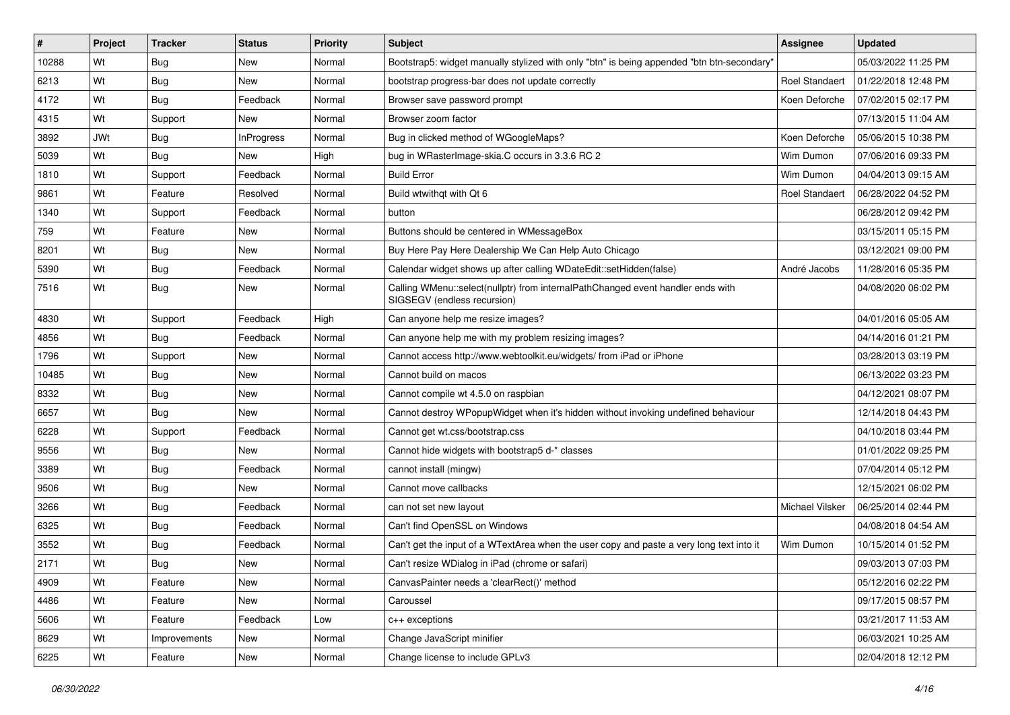| #     | Project    | <b>Tracker</b> | <b>Status</b>     | Priority | Subject                                                                                                        | <b>Assignee</b>       | <b>Updated</b>      |
|-------|------------|----------------|-------------------|----------|----------------------------------------------------------------------------------------------------------------|-----------------------|---------------------|
| 10288 | Wt         | Bug            | New               | Normal   | Bootstrap5: widget manually stylized with only "btn" is being appended "btn btn-secondary"                     |                       | 05/03/2022 11:25 PM |
| 6213  | Wt         | <b>Bug</b>     | New               | Normal   | bootstrap progress-bar does not update correctly                                                               | <b>Roel Standaert</b> | 01/22/2018 12:48 PM |
| 4172  | Wt         | Bug            | Feedback          | Normal   | Browser save password prompt                                                                                   | Koen Deforche         | 07/02/2015 02:17 PM |
| 4315  | Wt         | Support        | New               | Normal   | Browser zoom factor                                                                                            |                       | 07/13/2015 11:04 AM |
| 3892  | <b>JWt</b> | Bug            | <b>InProgress</b> | Normal   | Bug in clicked method of WGoogleMaps?                                                                          | Koen Deforche         | 05/06/2015 10:38 PM |
| 5039  | Wt         | Bug            | New               | High     | bug in WRasterImage-skia.C occurs in 3.3.6 RC 2                                                                | Wim Dumon             | 07/06/2016 09:33 PM |
| 1810  | Wt         | Support        | Feedback          | Normal   | <b>Build Error</b>                                                                                             | Wim Dumon             | 04/04/2013 09:15 AM |
| 9861  | Wt         | Feature        | Resolved          | Normal   | Build wtwithat with Qt 6                                                                                       | <b>Roel Standaert</b> | 06/28/2022 04:52 PM |
| 1340  | Wt         | Support        | Feedback          | Normal   | button                                                                                                         |                       | 06/28/2012 09:42 PM |
| 759   | Wt         | Feature        | New               | Normal   | Buttons should be centered in WMessageBox                                                                      |                       | 03/15/2011 05:15 PM |
| 8201  | Wt         | Bug            | New               | Normal   | Buy Here Pay Here Dealership We Can Help Auto Chicago                                                          |                       | 03/12/2021 09:00 PM |
| 5390  | Wt         | Bug            | Feedback          | Normal   | Calendar widget shows up after calling WDateEdit::setHidden(false)                                             | André Jacobs          | 11/28/2016 05:35 PM |
| 7516  | Wt         | <b>Bug</b>     | New               | Normal   | Calling WMenu::select(nullptr) from internalPathChanged event handler ends with<br>SIGSEGV (endless recursion) |                       | 04/08/2020 06:02 PM |
| 4830  | Wt         | Support        | Feedback          | High     | Can anyone help me resize images?                                                                              |                       | 04/01/2016 05:05 AM |
| 4856  | Wt         | <b>Bug</b>     | Feedback          | Normal   | Can anyone help me with my problem resizing images?                                                            |                       | 04/14/2016 01:21 PM |
| 1796  | Wt         | Support        | New               | Normal   | Cannot access http://www.webtoolkit.eu/widgets/ from iPad or iPhone                                            |                       | 03/28/2013 03:19 PM |
| 10485 | Wt         | Bug            | New               | Normal   | Cannot build on macos                                                                                          |                       | 06/13/2022 03:23 PM |
| 8332  | Wt         | Bug            | New               | Normal   | Cannot compile wt 4.5.0 on raspbian                                                                            |                       | 04/12/2021 08:07 PM |
| 6657  | Wt         | Bug            | New               | Normal   | Cannot destroy WPopupWidget when it's hidden without invoking undefined behaviour                              |                       | 12/14/2018 04:43 PM |
| 6228  | Wt         | Support        | Feedback          | Normal   | Cannot get wt.css/bootstrap.css                                                                                |                       | 04/10/2018 03:44 PM |
| 9556  | Wt         | Bug            | New               | Normal   | Cannot hide widgets with bootstrap5 d-* classes                                                                |                       | 01/01/2022 09:25 PM |
| 3389  | Wt         | Bug            | Feedback          | Normal   | cannot install (mingw)                                                                                         |                       | 07/04/2014 05:12 PM |
| 9506  | Wt         | Bug            | New               | Normal   | Cannot move callbacks                                                                                          |                       | 12/15/2021 06:02 PM |
| 3266  | Wt         | Bug            | Feedback          | Normal   | can not set new layout                                                                                         | Michael Vilsker       | 06/25/2014 02:44 PM |
| 6325  | Wt         | Bug            | Feedback          | Normal   | Can't find OpenSSL on Windows                                                                                  |                       | 04/08/2018 04:54 AM |
| 3552  | Wt         | Bug            | Feedback          | Normal   | Can't get the input of a WTextArea when the user copy and paste a very long text into it                       | Wim Dumon             | 10/15/2014 01:52 PM |
| 2171  | Wt         | Bug            | New               | Normal   | Can't resize WDialog in iPad (chrome or safari)                                                                |                       | 09/03/2013 07:03 PM |
| 4909  | Wt         | Feature        | New               | Normal   | CanvasPainter needs a 'clearRect()' method                                                                     |                       | 05/12/2016 02:22 PM |
| 4486  | Wt         | Feature        | New               | Normal   | Caroussel                                                                                                      |                       | 09/17/2015 08:57 PM |
| 5606  | Wt         | Feature        | Feedback          | Low      | c++ exceptions                                                                                                 |                       | 03/21/2017 11:53 AM |
| 8629  | Wt         | Improvements   | New               | Normal   | Change JavaScript minifier                                                                                     |                       | 06/03/2021 10:25 AM |
| 6225  | Wt         | Feature        | New               | Normal   | Change license to include GPLv3                                                                                |                       | 02/04/2018 12:12 PM |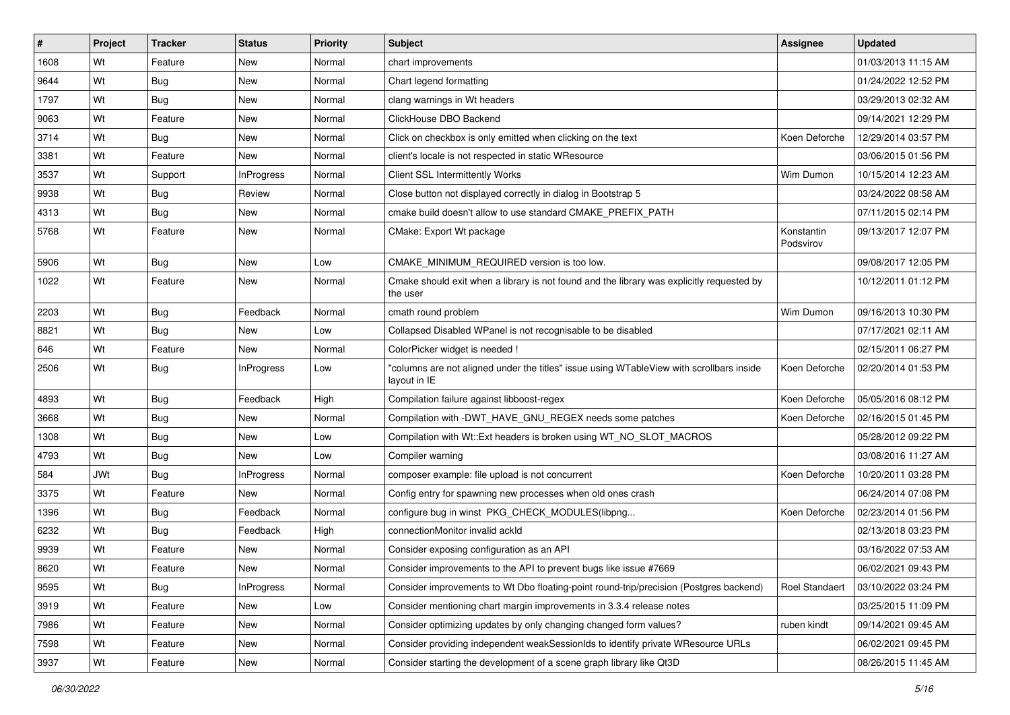| #    | Project    | <b>Tracker</b> | <b>Status</b>     | <b>Priority</b> | <b>Subject</b>                                                                                           | Assignee                | <b>Updated</b>      |
|------|------------|----------------|-------------------|-----------------|----------------------------------------------------------------------------------------------------------|-------------------------|---------------------|
| 1608 | Wt         | Feature        | New               | Normal          | chart improvements                                                                                       |                         | 01/03/2013 11:15 AM |
| 9644 | Wt         | Bug            | New               | Normal          | Chart legend formatting                                                                                  |                         | 01/24/2022 12:52 PM |
| 1797 | Wt         | Bug            | New               | Normal          | clang warnings in Wt headers                                                                             |                         | 03/29/2013 02:32 AM |
| 9063 | Wt         | Feature        | New               | Normal          | ClickHouse DBO Backend                                                                                   |                         | 09/14/2021 12:29 PM |
| 3714 | Wt         | Bug            | New               | Normal          | Click on checkbox is only emitted when clicking on the text                                              | Koen Deforche           | 12/29/2014 03:57 PM |
| 3381 | Wt         | Feature        | New               | Normal          | client's locale is not respected in static WResource                                                     |                         | 03/06/2015 01:56 PM |
| 3537 | Wt         | Support        | InProgress        | Normal          | Client SSL Intermittently Works                                                                          | Wim Dumon               | 10/15/2014 12:23 AM |
| 9938 | Wt         | Bug            | Review            | Normal          | Close button not displayed correctly in dialog in Bootstrap 5                                            |                         | 03/24/2022 08:58 AM |
| 4313 | Wt         | Bug            | New               | Normal          | cmake build doesn't allow to use standard CMAKE_PREFIX_PATH                                              |                         | 07/11/2015 02:14 PM |
| 5768 | Wt         | Feature        | New               | Normal          | CMake: Export Wt package                                                                                 | Konstantin<br>Podsvirov | 09/13/2017 12:07 PM |
| 5906 | Wt         | Bug            | New               | Low             | CMAKE MINIMUM REQUIRED version is too low.                                                               |                         | 09/08/2017 12:05 PM |
| 1022 | Wt         | Feature        | New               | Normal          | Cmake should exit when a library is not found and the library was explicitly requested by<br>the user    |                         | 10/12/2011 01:12 PM |
| 2203 | Wt         | Bug            | Feedback          | Normal          | cmath round problem                                                                                      | Wim Dumon               | 09/16/2013 10:30 PM |
| 8821 | Wt         | Bug            | New               | Low             | Collapsed Disabled WPanel is not recognisable to be disabled                                             |                         | 07/17/2021 02:11 AM |
| 646  | Wt         | Feature        | New               | Normal          | ColorPicker widget is needed !                                                                           |                         | 02/15/2011 06:27 PM |
| 2506 | Wt         | Bug            | <b>InProgress</b> | Low             | "columns are not aligned under the titles" issue using WTableView with scrollbars inside<br>layout in IE | Koen Deforche           | 02/20/2014 01:53 PM |
| 4893 | Wt         | Bug            | Feedback          | High            | Compilation failure against libboost-regex                                                               | Koen Deforche           | 05/05/2016 08:12 PM |
| 3668 | Wt         | Bug            | New               | Normal          | Compilation with -DWT_HAVE_GNU_REGEX needs some patches                                                  | Koen Deforche           | 02/16/2015 01:45 PM |
| 1308 | Wt         | Bug            | New               | Low             | Compilation with Wt::Ext headers is broken using WT_NO_SLOT_MACROS                                       |                         | 05/28/2012 09:22 PM |
| 4793 | Wt         | Bug            | New               | Low             | Compiler warning                                                                                         |                         | 03/08/2016 11:27 AM |
| 584  | <b>JWt</b> | Bug            | <b>InProgress</b> | Normal          | composer example: file upload is not concurrent                                                          | Koen Deforche           | 10/20/2011 03:28 PM |
| 3375 | Wt         | Feature        | New               | Normal          | Config entry for spawning new processes when old ones crash                                              |                         | 06/24/2014 07:08 PM |
| 1396 | Wt         | Bug            | Feedback          | Normal          | configure bug in winst PKG_CHECK_MODULES(libpng                                                          | Koen Deforche           | 02/23/2014 01:56 PM |
| 6232 | Wt         | Bug            | Feedback          | High            | connectionMonitor invalid ackId                                                                          |                         | 02/13/2018 03:23 PM |
| 9939 | Wt         | Feature        | New               | Normal          | Consider exposing configuration as an API                                                                |                         | 03/16/2022 07:53 AM |
| 8620 | Wt         | Feature        | New               | Normal          | Consider improvements to the API to prevent bugs like issue #7669                                        |                         | 06/02/2021 09:43 PM |
| 9595 | Wt         | Bug            | <b>InProgress</b> | Normal          | Consider improvements to Wt Dbo floating-point round-trip/precision (Postgres backend)                   | Roel Standaert          | 03/10/2022 03:24 PM |
| 3919 | Wt         | Feature        | New               | Low             | Consider mentioning chart margin improvements in 3.3.4 release notes                                     |                         | 03/25/2015 11:09 PM |
| 7986 | Wt         | Feature        | New               | Normal          | Consider optimizing updates by only changing changed form values?                                        | ruben kindt             | 09/14/2021 09:45 AM |
| 7598 | Wt         | Feature        | New               | Normal          | Consider providing independent weakSessionIds to identify private WResource URLs                         |                         | 06/02/2021 09:45 PM |
| 3937 | Wt         | Feature        | New               | Normal          | Consider starting the development of a scene graph library like Qt3D                                     |                         | 08/26/2015 11:45 AM |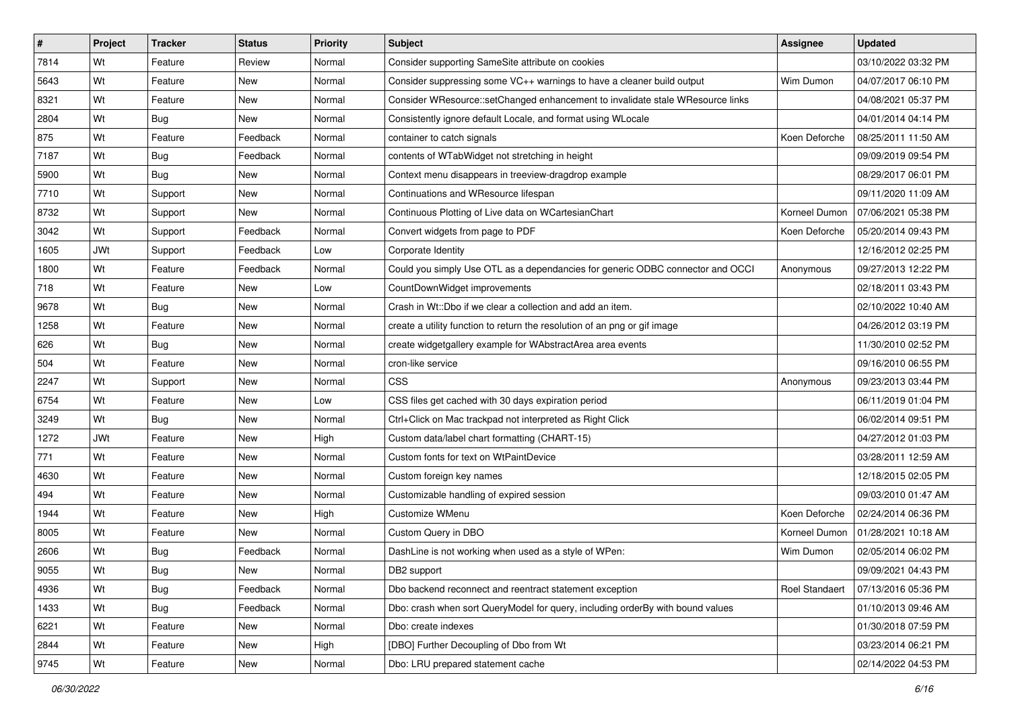| $\sharp$ | Project    | <b>Tracker</b> | <b>Status</b> | <b>Priority</b> | Subject                                                                        | Assignee              | <b>Updated</b>      |
|----------|------------|----------------|---------------|-----------------|--------------------------------------------------------------------------------|-----------------------|---------------------|
| 7814     | Wt         | Feature        | Review        | Normal          | Consider supporting SameSite attribute on cookies                              |                       | 03/10/2022 03:32 PM |
| 5643     | Wt         | Feature        | New           | Normal          | Consider suppressing some VC++ warnings to have a cleaner build output         | Wim Dumon             | 04/07/2017 06:10 PM |
| 8321     | Wt         | Feature        | New           | Normal          | Consider WResource::setChanged enhancement to invalidate stale WResource links |                       | 04/08/2021 05:37 PM |
| 2804     | Wt         | <b>Bug</b>     | New           | Normal          | Consistently ignore default Locale, and format using WLocale                   |                       | 04/01/2014 04:14 PM |
| 875      | Wt         | Feature        | Feedback      | Normal          | container to catch signals                                                     | Koen Deforche         | 08/25/2011 11:50 AM |
| 7187     | Wt         | Bug            | Feedback      | Normal          | contents of WTabWidget not stretching in height                                |                       | 09/09/2019 09:54 PM |
| 5900     | Wt         | <b>Bug</b>     | New           | Normal          | Context menu disappears in treeview-dragdrop example                           |                       | 08/29/2017 06:01 PM |
| 7710     | Wt         | Support        | <b>New</b>    | Normal          | Continuations and WResource lifespan                                           |                       | 09/11/2020 11:09 AM |
| 8732     | Wt         | Support        | New           | Normal          | Continuous Plotting of Live data on WCartesianChart                            | Korneel Dumon         | 07/06/2021 05:38 PM |
| 3042     | Wt         | Support        | Feedback      | Normal          | Convert widgets from page to PDF                                               | Koen Deforche         | 05/20/2014 09:43 PM |
| 1605     | <b>JWt</b> | Support        | Feedback      | Low             | Corporate Identity                                                             |                       | 12/16/2012 02:25 PM |
| 1800     | Wt         | Feature        | Feedback      | Normal          | Could you simply Use OTL as a dependancies for generic ODBC connector and OCCI | Anonymous             | 09/27/2013 12:22 PM |
| 718      | Wt         | Feature        | New           | Low             | CountDownWidget improvements                                                   |                       | 02/18/2011 03:43 PM |
| 9678     | Wt         | Bug            | New           | Normal          | Crash in Wt::Dbo if we clear a collection and add an item.                     |                       | 02/10/2022 10:40 AM |
| 1258     | Wt         | Feature        | New           | Normal          | create a utility function to return the resolution of an png or gif image      |                       | 04/26/2012 03:19 PM |
| 626      | Wt         | Bug            | New           | Normal          | create widgetgallery example for WAbstractArea area events                     |                       | 11/30/2010 02:52 PM |
| 504      | Wt         | Feature        | New           | Normal          | cron-like service                                                              |                       | 09/16/2010 06:55 PM |
| 2247     | Wt         | Support        | New           | Normal          | <b>CSS</b>                                                                     | Anonymous             | 09/23/2013 03:44 PM |
| 6754     | Wt         | Feature        | New           | Low             | CSS files get cached with 30 days expiration period                            |                       | 06/11/2019 01:04 PM |
| 3249     | Wt         | Bug            | New           | Normal          | Ctrl+Click on Mac trackpad not interpreted as Right Click                      |                       | 06/02/2014 09:51 PM |
| 1272     | <b>JWt</b> | Feature        | New           | High            | Custom data/label chart formatting (CHART-15)                                  |                       | 04/27/2012 01:03 PM |
| 771      | Wt         | Feature        | New           | Normal          | Custom fonts for text on WtPaintDevice                                         |                       | 03/28/2011 12:59 AM |
| 4630     | Wt         | Feature        | New           | Normal          | Custom foreign key names                                                       |                       | 12/18/2015 02:05 PM |
| 494      | Wt         | Feature        | New           | Normal          | Customizable handling of expired session                                       |                       | 09/03/2010 01:47 AM |
| 1944     | Wt         | Feature        | New           | High            | Customize WMenu                                                                | Koen Deforche         | 02/24/2014 06:36 PM |
| 8005     | Wt         | Feature        | New           | Normal          | Custom Query in DBO                                                            | Korneel Dumon         | 01/28/2021 10:18 AM |
| 2606     | Wt         | <b>Bug</b>     | Feedback      | Normal          | DashLine is not working when used as a style of WPen:                          | Wim Dumon             | 02/05/2014 06:02 PM |
| 9055     | Wt         | <b>Bug</b>     | New           | Normal          | DB2 support                                                                    |                       | 09/09/2021 04:43 PM |
| 4936     | Wt         | Bug            | Feedback      | Normal          | Dbo backend reconnect and reentract statement exception                        | <b>Roel Standaert</b> | 07/13/2016 05:36 PM |
| 1433     | Wt         | Bug            | Feedback      | Normal          | Dbo: crash when sort QueryModel for query, including orderBy with bound values |                       | 01/10/2013 09:46 AM |
| 6221     | Wt         | Feature        | New           | Normal          | Dbo: create indexes                                                            |                       | 01/30/2018 07:59 PM |
| 2844     | Wt         | Feature        | New           | High            | [DBO] Further Decoupling of Dbo from Wt                                        |                       | 03/23/2014 06:21 PM |
| 9745     | Wt         | Feature        | New           | Normal          | Dbo: LRU prepared statement cache                                              |                       | 02/14/2022 04:53 PM |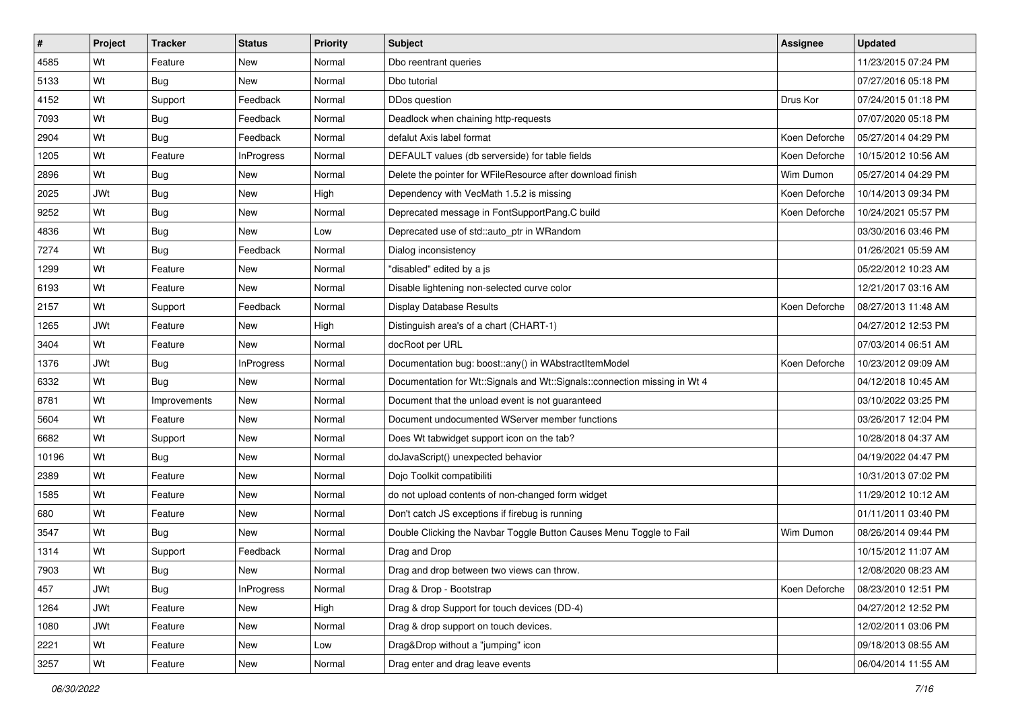| #     | Project    | <b>Tracker</b> | <b>Status</b>     | <b>Priority</b> | Subject                                                                   | Assignee      | <b>Updated</b>      |
|-------|------------|----------------|-------------------|-----------------|---------------------------------------------------------------------------|---------------|---------------------|
| 4585  | Wt         | Feature        | New               | Normal          | Dbo reentrant queries                                                     |               | 11/23/2015 07:24 PM |
| 5133  | Wt         | Bug            | New               | Normal          | Dbo tutorial                                                              |               | 07/27/2016 05:18 PM |
| 4152  | Wt         | Support        | Feedback          | Normal          | DDos question                                                             | Drus Kor      | 07/24/2015 01:18 PM |
| 7093  | Wt         | Bug            | Feedback          | Normal          | Deadlock when chaining http-requests                                      |               | 07/07/2020 05:18 PM |
| 2904  | Wt         | Bug            | Feedback          | Normal          | defalut Axis label format                                                 | Koen Deforche | 05/27/2014 04:29 PM |
| 1205  | Wt         | Feature        | <b>InProgress</b> | Normal          | DEFAULT values (db serverside) for table fields                           | Koen Deforche | 10/15/2012 10:56 AM |
| 2896  | Wt         | Bug            | New               | Normal          | Delete the pointer for WFileResource after download finish                | Wim Dumon     | 05/27/2014 04:29 PM |
| 2025  | <b>JWt</b> | Bug            | New               | High            | Dependency with VecMath 1.5.2 is missing                                  | Koen Deforche | 10/14/2013 09:34 PM |
| 9252  | Wt         | Bug            | New               | Normal          | Deprecated message in FontSupportPang.C build                             | Koen Deforche | 10/24/2021 05:57 PM |
| 4836  | Wt         | Bug            | New               | Low             | Deprecated use of std::auto_ptr in WRandom                                |               | 03/30/2016 03:46 PM |
| 7274  | Wt         | Bug            | Feedback          | Normal          | Dialog inconsistency                                                      |               | 01/26/2021 05:59 AM |
| 1299  | Wt         | Feature        | New               | Normal          | "disabled" edited by a js                                                 |               | 05/22/2012 10:23 AM |
| 6193  | Wt         | Feature        | New               | Normal          | Disable lightening non-selected curve color                               |               | 12/21/2017 03:16 AM |
| 2157  | Wt         | Support        | Feedback          | Normal          | <b>Display Database Results</b>                                           | Koen Deforche | 08/27/2013 11:48 AM |
| 1265  | <b>JWt</b> | Feature        | New               | High            | Distinguish area's of a chart (CHART-1)                                   |               | 04/27/2012 12:53 PM |
| 3404  | Wt         | Feature        | New               | Normal          | docRoot per URL                                                           |               | 07/03/2014 06:51 AM |
| 1376  | <b>JWt</b> | Bug            | <b>InProgress</b> | Normal          | Documentation bug: boost::any() in WAbstractItemModel                     | Koen Deforche | 10/23/2012 09:09 AM |
| 6332  | Wt         | Bug            | New               | Normal          | Documentation for Wt::Signals and Wt::Signals::connection missing in Wt 4 |               | 04/12/2018 10:45 AM |
| 8781  | Wt         | Improvements   | New               | Normal          | Document that the unload event is not guaranteed                          |               | 03/10/2022 03:25 PM |
| 5604  | Wt         | Feature        | New               | Normal          | Document undocumented WServer member functions                            |               | 03/26/2017 12:04 PM |
| 6682  | Wt         | Support        | New               | Normal          | Does Wt tabwidget support icon on the tab?                                |               | 10/28/2018 04:37 AM |
| 10196 | Wt         | Bug            | New               | Normal          | doJavaScript() unexpected behavior                                        |               | 04/19/2022 04:47 PM |
| 2389  | Wt         | Feature        | New               | Normal          | Dojo Toolkit compatibiliti                                                |               | 10/31/2013 07:02 PM |
| 1585  | Wt         | Feature        | New               | Normal          | do not upload contents of non-changed form widget                         |               | 11/29/2012 10:12 AM |
| 680   | Wt         | Feature        | New               | Normal          | Don't catch JS exceptions if firebug is running                           |               | 01/11/2011 03:40 PM |
| 3547  | Wt         | Bug            | New               | Normal          | Double Clicking the Navbar Toggle Button Causes Menu Toggle to Fail       | Wim Dumon     | 08/26/2014 09:44 PM |
| 1314  | Wt         | Support        | Feedback          | Normal          | Drag and Drop                                                             |               | 10/15/2012 11:07 AM |
| 7903  | Wt         | Bug            | New               | Normal          | Drag and drop between two views can throw.                                |               | 12/08/2020 08:23 AM |
| 457   | JWt        | Bug            | InProgress        | Normal          | Drag & Drop - Bootstrap                                                   | Koen Deforche | 08/23/2010 12:51 PM |
| 1264  | JWt        | Feature        | New               | High            | Drag & drop Support for touch devices (DD-4)                              |               | 04/27/2012 12:52 PM |
| 1080  | JWt        | Feature        | New               | Normal          | Drag & drop support on touch devices.                                     |               | 12/02/2011 03:06 PM |
| 2221  | Wt         | Feature        | New               | Low             | Drag&Drop without a "jumping" icon                                        |               | 09/18/2013 08:55 AM |
| 3257  | Wt         | Feature        | New               | Normal          | Drag enter and drag leave events                                          |               | 06/04/2014 11:55 AM |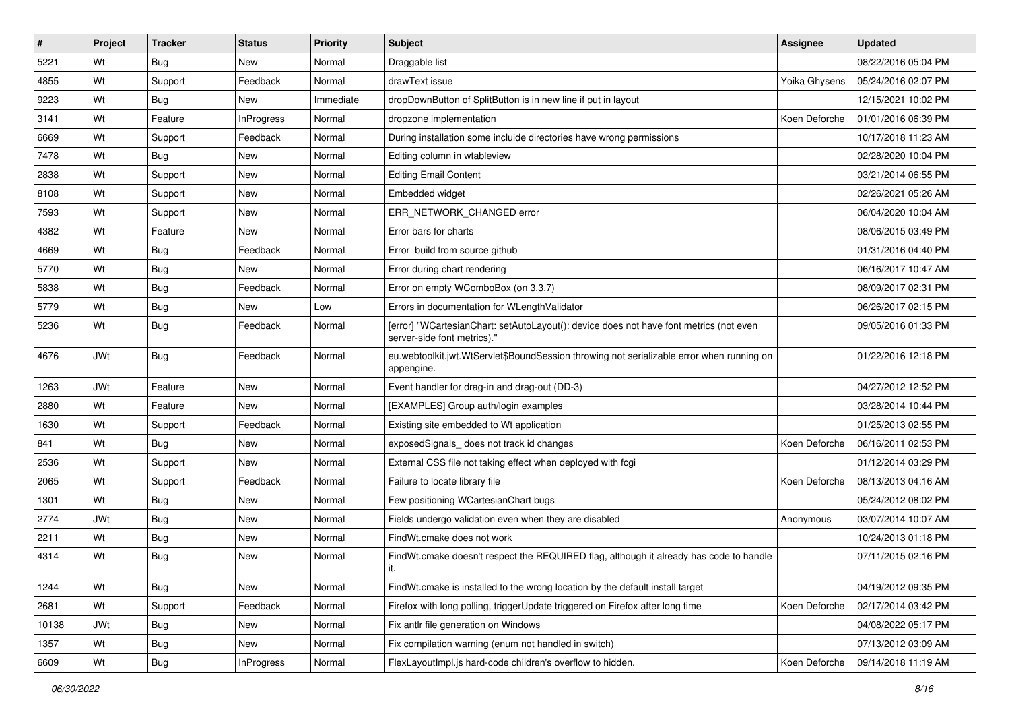| #     | Project    | <b>Tracker</b> | <b>Status</b>     | <b>Priority</b> | Subject                                                                                                               | Assignee      | <b>Updated</b>      |
|-------|------------|----------------|-------------------|-----------------|-----------------------------------------------------------------------------------------------------------------------|---------------|---------------------|
| 5221  | Wt         | <b>Bug</b>     | New               | Normal          | Draggable list                                                                                                        |               | 08/22/2016 05:04 PM |
| 4855  | Wt         | Support        | Feedback          | Normal          | drawText issue                                                                                                        | Yoika Ghysens | 05/24/2016 02:07 PM |
| 9223  | Wt         | Bug            | New               | Immediate       | dropDownButton of SplitButton is in new line if put in layout                                                         |               | 12/15/2021 10:02 PM |
| 3141  | Wt         | Feature        | <b>InProgress</b> | Normal          | dropzone implementation                                                                                               | Koen Deforche | 01/01/2016 06:39 PM |
| 6669  | Wt         | Support        | Feedback          | Normal          | During installation some incluide directories have wrong permissions                                                  |               | 10/17/2018 11:23 AM |
| 7478  | Wt         | Bug            | New               | Normal          | Editing column in wtableview                                                                                          |               | 02/28/2020 10:04 PM |
| 2838  | Wt         | Support        | New               | Normal          | <b>Editing Email Content</b>                                                                                          |               | 03/21/2014 06:55 PM |
| 8108  | Wt         | Support        | New               | Normal          | Embedded widget                                                                                                       |               | 02/26/2021 05:26 AM |
| 7593  | Wt         | Support        | New               | Normal          | ERR_NETWORK_CHANGED error                                                                                             |               | 06/04/2020 10:04 AM |
| 4382  | Wt         | Feature        | New               | Normal          | Error bars for charts                                                                                                 |               | 08/06/2015 03:49 PM |
| 4669  | Wt         | Bug            | Feedback          | Normal          | Error build from source github                                                                                        |               | 01/31/2016 04:40 PM |
| 5770  | Wt         | Bug            | New               | Normal          | Error during chart rendering                                                                                          |               | 06/16/2017 10:47 AM |
| 5838  | Wt         | Bug            | Feedback          | Normal          | Error on empty WComboBox (on 3.3.7)                                                                                   |               | 08/09/2017 02:31 PM |
| 5779  | Wt         | Bug            | New               | Low             | Errors in documentation for WLengthValidator                                                                          |               | 06/26/2017 02:15 PM |
| 5236  | Wt         | Bug            | Feedback          | Normal          | [error] "WCartesianChart: setAutoLayout(): device does not have font metrics (not even<br>server-side font metrics)." |               | 09/05/2016 01:33 PM |
| 4676  | <b>JWt</b> | Bug            | Feedback          | Normal          | eu.webtoolkit.jwt.WtServlet\$BoundSession throwing not serializable error when running on<br>appengine.               |               | 01/22/2016 12:18 PM |
| 1263  | <b>JWt</b> | Feature        | New               | Normal          | Event handler for drag-in and drag-out (DD-3)                                                                         |               | 04/27/2012 12:52 PM |
| 2880  | Wt         | Feature        | New               | Normal          | [EXAMPLES] Group auth/login examples                                                                                  |               | 03/28/2014 10:44 PM |
| 1630  | Wt         | Support        | Feedback          | Normal          | Existing site embedded to Wt application                                                                              |               | 01/25/2013 02:55 PM |
| 841   | Wt         | <b>Bug</b>     | New               | Normal          | exposedSignals does not track id changes                                                                              | Koen Deforche | 06/16/2011 02:53 PM |
| 2536  | Wt         | Support        | New               | Normal          | External CSS file not taking effect when deployed with fogi                                                           |               | 01/12/2014 03:29 PM |
| 2065  | Wt         | Support        | Feedback          | Normal          | Failure to locate library file                                                                                        | Koen Deforche | 08/13/2013 04:16 AM |
| 1301  | Wt         | Bug            | New               | Normal          | Few positioning WCartesianChart bugs                                                                                  |               | 05/24/2012 08:02 PM |
| 2774  | <b>JWt</b> | Bug            | New               | Normal          | Fields undergo validation even when they are disabled                                                                 | Anonymous     | 03/07/2014 10:07 AM |
| 2211  | Wt         | Bug            | New               | Normal          | FindWt.cmake does not work                                                                                            |               | 10/24/2013 01:18 PM |
| 4314  | Wt         | Bug            | New               | Normal          | FindWt.cmake doesn't respect the REQUIRED flag, although it already has code to handle<br>l it.                       |               | 07/11/2015 02:16 PM |
| 1244  | Wt         | Bug            | New               | Normal          | FindWt.cmake is installed to the wrong location by the default install target                                         |               | 04/19/2012 09:35 PM |
| 2681  | Wt         | Support        | Feedback          | Normal          | Firefox with long polling, triggerUpdate triggered on Firefox after long time                                         | Koen Deforche | 02/17/2014 03:42 PM |
| 10138 | JWt        | <b>Bug</b>     | New               | Normal          | Fix antlr file generation on Windows                                                                                  |               | 04/08/2022 05:17 PM |
| 1357  | Wt         | <b>Bug</b>     | New               | Normal          | Fix compilation warning (enum not handled in switch)                                                                  |               | 07/13/2012 03:09 AM |
| 6609  | Wt         | Bug            | <b>InProgress</b> | Normal          | FlexLayoutImpl.js hard-code children's overflow to hidden.                                                            | Koen Deforche | 09/14/2018 11:19 AM |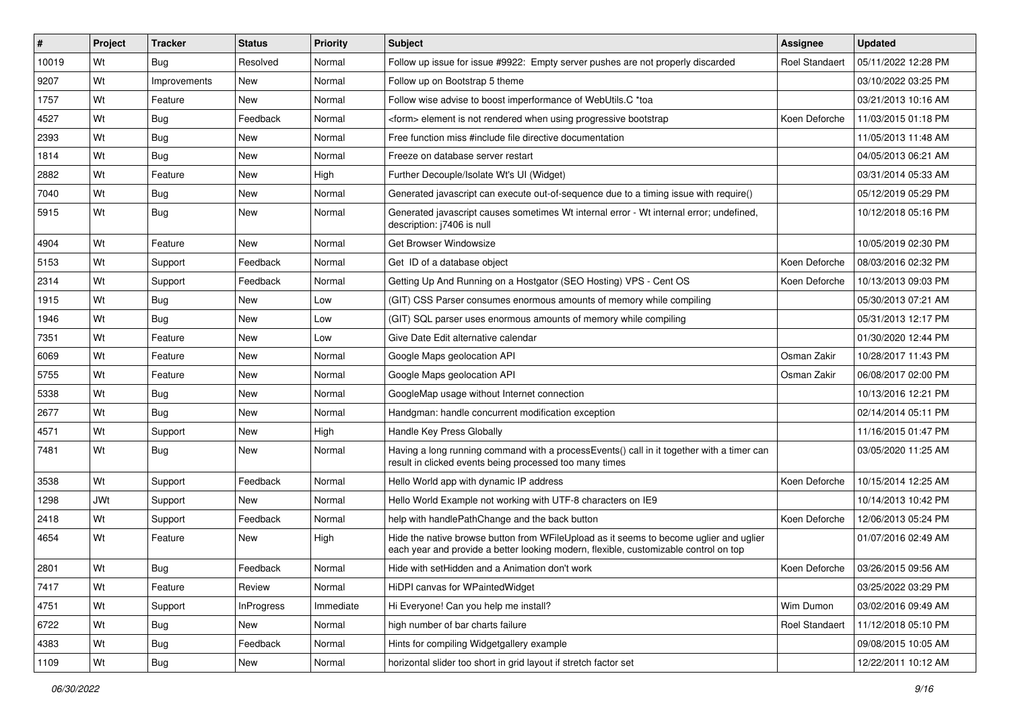| #     | Project    | <b>Tracker</b> | <b>Status</b> | <b>Priority</b> | Subject                                                                                                                                                                        | Assignee              | <b>Updated</b>      |
|-------|------------|----------------|---------------|-----------------|--------------------------------------------------------------------------------------------------------------------------------------------------------------------------------|-----------------------|---------------------|
| 10019 | Wt         | <b>Bug</b>     | Resolved      | Normal          | Follow up issue for issue #9922: Empty server pushes are not properly discarded                                                                                                | <b>Roel Standaert</b> | 05/11/2022 12:28 PM |
| 9207  | Wt         | Improvements   | New           | Normal          | Follow up on Bootstrap 5 theme                                                                                                                                                 |                       | 03/10/2022 03:25 PM |
| 1757  | Wt         | Feature        | New           | Normal          | Follow wise advise to boost imperformance of WebUtils.C *toa                                                                                                                   |                       | 03/21/2013 10:16 AM |
| 4527  | Wt         | Bug            | Feedback      | Normal          | <form> element is not rendered when using progressive bootstrap</form>                                                                                                         | Koen Deforche         | 11/03/2015 01:18 PM |
| 2393  | Wt         | Bug            | New           | Normal          | Free function miss #include file directive documentation                                                                                                                       |                       | 11/05/2013 11:48 AM |
| 1814  | Wt         | Bug            | New           | Normal          | Freeze on database server restart                                                                                                                                              |                       | 04/05/2013 06:21 AM |
| 2882  | Wt         | Feature        | New           | High            | Further Decouple/Isolate Wt's UI (Widget)                                                                                                                                      |                       | 03/31/2014 05:33 AM |
| 7040  | Wt         | Bug            | New           | Normal          | Generated javascript can execute out-of-sequence due to a timing issue with require()                                                                                          |                       | 05/12/2019 05:29 PM |
| 5915  | Wt         | Bug            | New           | Normal          | Generated javascript causes sometimes Wt internal error - Wt internal error; undefined,<br>description: j7406 is null                                                          |                       | 10/12/2018 05:16 PM |
| 4904  | Wt         | Feature        | New           | Normal          | Get Browser Windowsize                                                                                                                                                         |                       | 10/05/2019 02:30 PM |
| 5153  | Wt         | Support        | Feedback      | Normal          | Get ID of a database object                                                                                                                                                    | Koen Deforche         | 08/03/2016 02:32 PM |
| 2314  | Wt         | Support        | Feedback      | Normal          | Getting Up And Running on a Hostgator (SEO Hosting) VPS - Cent OS                                                                                                              | Koen Deforche         | 10/13/2013 09:03 PM |
| 1915  | Wt         | Bug            | New           | Low             | (GIT) CSS Parser consumes enormous amounts of memory while compiling                                                                                                           |                       | 05/30/2013 07:21 AM |
| 1946  | Wt         | Bug            | New           | Low             | (GIT) SQL parser uses enormous amounts of memory while compiling                                                                                                               |                       | 05/31/2013 12:17 PM |
| 7351  | Wt         | Feature        | New           | Low             | Give Date Edit alternative calendar                                                                                                                                            |                       | 01/30/2020 12:44 PM |
| 6069  | Wt         | Feature        | New           | Normal          | Google Maps geolocation API                                                                                                                                                    | Osman Zakir           | 10/28/2017 11:43 PM |
| 5755  | Wt         | Feature        | New           | Normal          | Google Maps geolocation API                                                                                                                                                    | Osman Zakir           | 06/08/2017 02:00 PM |
| 5338  | Wt         | Bug            | New           | Normal          | GoogleMap usage without Internet connection                                                                                                                                    |                       | 10/13/2016 12:21 PM |
| 2677  | Wt         | Bug            | New           | Normal          | Handgman: handle concurrent modification exception                                                                                                                             |                       | 02/14/2014 05:11 PM |
| 4571  | Wt         | Support        | New           | High            | Handle Key Press Globally                                                                                                                                                      |                       | 11/16/2015 01:47 PM |
| 7481  | Wt         | Bug            | New           | Normal          | Having a long running command with a processEvents() call in it together with a timer can<br>result in clicked events being processed too many times                           |                       | 03/05/2020 11:25 AM |
| 3538  | Wt         | Support        | Feedback      | Normal          | Hello World app with dynamic IP address                                                                                                                                        | Koen Deforche         | 10/15/2014 12:25 AM |
| 1298  | <b>JWt</b> | Support        | New           | Normal          | Hello World Example not working with UTF-8 characters on IE9                                                                                                                   |                       | 10/14/2013 10:42 PM |
| 2418  | Wt         | Support        | Feedback      | Normal          | help with handlePathChange and the back button                                                                                                                                 | Koen Deforche         | 12/06/2013 05:24 PM |
| 4654  | Wt         | Feature        | New           | High            | Hide the native browse button from WFileUpload as it seems to become uglier and uglier<br>each year and provide a better looking modern, flexible, customizable control on top |                       | 01/07/2016 02:49 AM |
| 2801  | Wt         | Bug            | Feedback      | Normal          | Hide with setHidden and a Animation don't work                                                                                                                                 | Koen Deforche         | 03/26/2015 09:56 AM |
| 7417  | Wt         | Feature        | Review        | Normal          | HiDPI canvas for WPaintedWidget                                                                                                                                                |                       | 03/25/2022 03:29 PM |
| 4751  | Wt         | Support        | InProgress    | Immediate       | Hi Everyone! Can you help me install?                                                                                                                                          | Wim Dumon             | 03/02/2016 09:49 AM |
| 6722  | Wt         | <b>Bug</b>     | New           | Normal          | high number of bar charts failure                                                                                                                                              | Roel Standaert        | 11/12/2018 05:10 PM |
| 4383  | Wt         | <b>Bug</b>     | Feedback      | Normal          | Hints for compiling Widgetgallery example                                                                                                                                      |                       | 09/08/2015 10:05 AM |
| 1109  | Wt         | Bug            | New           | Normal          | horizontal slider too short in grid layout if stretch factor set                                                                                                               |                       | 12/22/2011 10:12 AM |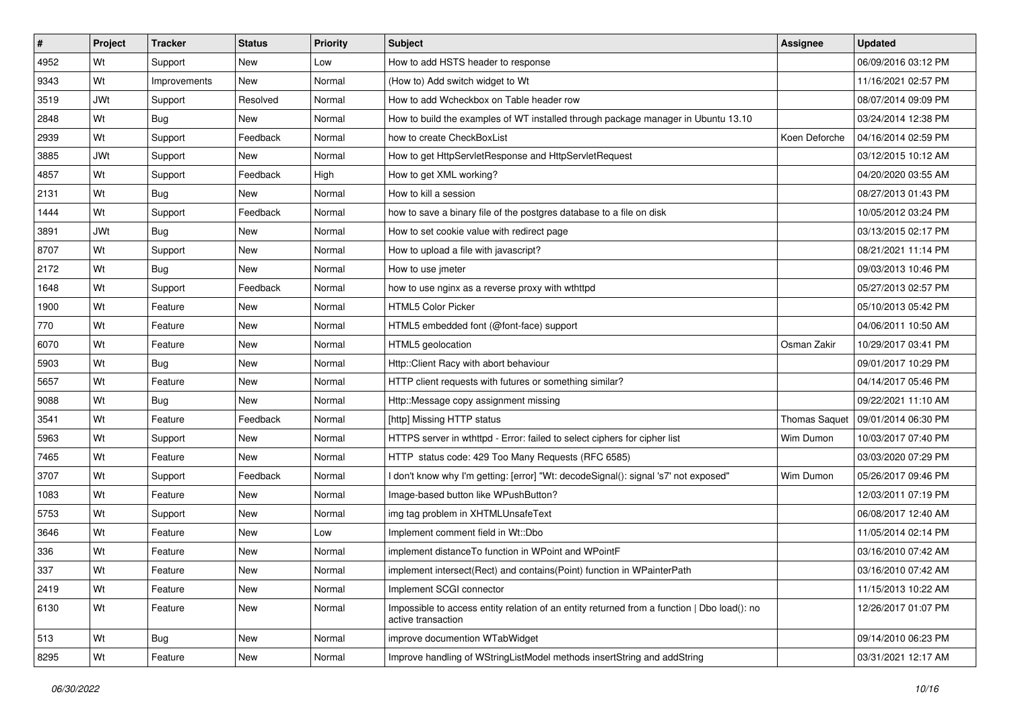| $\sharp$ | Project    | <b>Tracker</b> | <b>Status</b> | <b>Priority</b> | Subject                                                                                                           | <b>Assignee</b>      | <b>Updated</b>      |
|----------|------------|----------------|---------------|-----------------|-------------------------------------------------------------------------------------------------------------------|----------------------|---------------------|
| 4952     | Wt         | Support        | New           | Low             | How to add HSTS header to response                                                                                |                      | 06/09/2016 03:12 PM |
| 9343     | Wt         | Improvements   | New           | Normal          | (How to) Add switch widget to Wt                                                                                  |                      | 11/16/2021 02:57 PM |
| 3519     | <b>JWt</b> | Support        | Resolved      | Normal          | How to add Wcheckbox on Table header row                                                                          |                      | 08/07/2014 09:09 PM |
| 2848     | Wt         | Bug            | New           | Normal          | How to build the examples of WT installed through package manager in Ubuntu 13.10                                 |                      | 03/24/2014 12:38 PM |
| 2939     | Wt         | Support        | Feedback      | Normal          | how to create CheckBoxList                                                                                        | Koen Deforche        | 04/16/2014 02:59 PM |
| 3885     | <b>JWt</b> | Support        | New           | Normal          | How to get HttpServletResponse and HttpServletRequest                                                             |                      | 03/12/2015 10:12 AM |
| 4857     | Wt         | Support        | Feedback      | High            | How to get XML working?                                                                                           |                      | 04/20/2020 03:55 AM |
| 2131     | Wt         | Bug            | New           | Normal          | How to kill a session                                                                                             |                      | 08/27/2013 01:43 PM |
| 1444     | Wt         | Support        | Feedback      | Normal          | how to save a binary file of the postgres database to a file on disk                                              |                      | 10/05/2012 03:24 PM |
| 3891     | <b>JWt</b> | Bug            | New           | Normal          | How to set cookie value with redirect page                                                                        |                      | 03/13/2015 02:17 PM |
| 8707     | Wt         | Support        | New           | Normal          | How to upload a file with javascript?                                                                             |                      | 08/21/2021 11:14 PM |
| 2172     | Wt         | Bug            | New           | Normal          | How to use imeter                                                                                                 |                      | 09/03/2013 10:46 PM |
| 1648     | Wt         | Support        | Feedback      | Normal          | how to use nginx as a reverse proxy with wthttpd                                                                  |                      | 05/27/2013 02:57 PM |
| 1900     | Wt         | Feature        | New           | Normal          | <b>HTML5 Color Picker</b>                                                                                         |                      | 05/10/2013 05:42 PM |
| 770      | Wt         | Feature        | New           | Normal          | HTML5 embedded font (@font-face) support                                                                          |                      | 04/06/2011 10:50 AM |
| 6070     | Wt         | Feature        | New           | Normal          | HTML5 geolocation                                                                                                 | Osman Zakir          | 10/29/2017 03:41 PM |
| 5903     | Wt         | <b>Bug</b>     | New           | Normal          | Http::Client Racy with abort behaviour                                                                            |                      | 09/01/2017 10:29 PM |
| 5657     | Wt         | Feature        | <b>New</b>    | Normal          | HTTP client requests with futures or something similar?                                                           |                      | 04/14/2017 05:46 PM |
| 9088     | Wt         | <b>Bug</b>     | New           | Normal          | Http::Message copy assignment missing                                                                             |                      | 09/22/2021 11:10 AM |
| 3541     | Wt         | Feature        | Feedback      | Normal          | [http] Missing HTTP status                                                                                        | <b>Thomas Saquet</b> | 09/01/2014 06:30 PM |
| 5963     | Wt         | Support        | New           | Normal          | HTTPS server in wthttpd - Error: failed to select ciphers for cipher list                                         | Wim Dumon            | 10/03/2017 07:40 PM |
| 7465     | Wt         | Feature        | New           | Normal          | HTTP status code: 429 Too Many Requests (RFC 6585)                                                                |                      | 03/03/2020 07:29 PM |
| 3707     | Wt         | Support        | Feedback      | Normal          | I don't know why I'm getting: [error] "Wt: decodeSignal(): signal 's7' not exposed"                               | Wim Dumon            | 05/26/2017 09:46 PM |
| 1083     | Wt         | Feature        | New           | Normal          | Image-based button like WPushButton?                                                                              |                      | 12/03/2011 07:19 PM |
| 5753     | Wt         | Support        | New           | Normal          | img tag problem in XHTMLUnsafeText                                                                                |                      | 06/08/2017 12:40 AM |
| 3646     | Wt         | Feature        | New           | Low             | Implement comment field in Wt::Dbo                                                                                |                      | 11/05/2014 02:14 PM |
| 336      | Wt         | Feature        | New           | Normal          | implement distance To function in WPoint and WPointF                                                              |                      | 03/16/2010 07:42 AM |
| 337      | Wt         | Feature        | New           | Normal          | implement intersect(Rect) and contains(Point) function in WPainterPath                                            |                      | 03/16/2010 07:42 AM |
| 2419     | Wt         | Feature        | New           | Normal          | Implement SCGI connector                                                                                          |                      | 11/15/2013 10:22 AM |
| 6130     | Wt         | Feature        | New           | Normal          | Impossible to access entity relation of an entity returned from a function   Dbo load(): no<br>active transaction |                      | 12/26/2017 01:07 PM |
| 513      | Wt         | Bug            | New           | Normal          | improve documention WTabWidget                                                                                    |                      | 09/14/2010 06:23 PM |
| 8295     | Wt         | Feature        | New           | Normal          | Improve handling of WStringListModel methods insertString and addString                                           |                      | 03/31/2021 12:17 AM |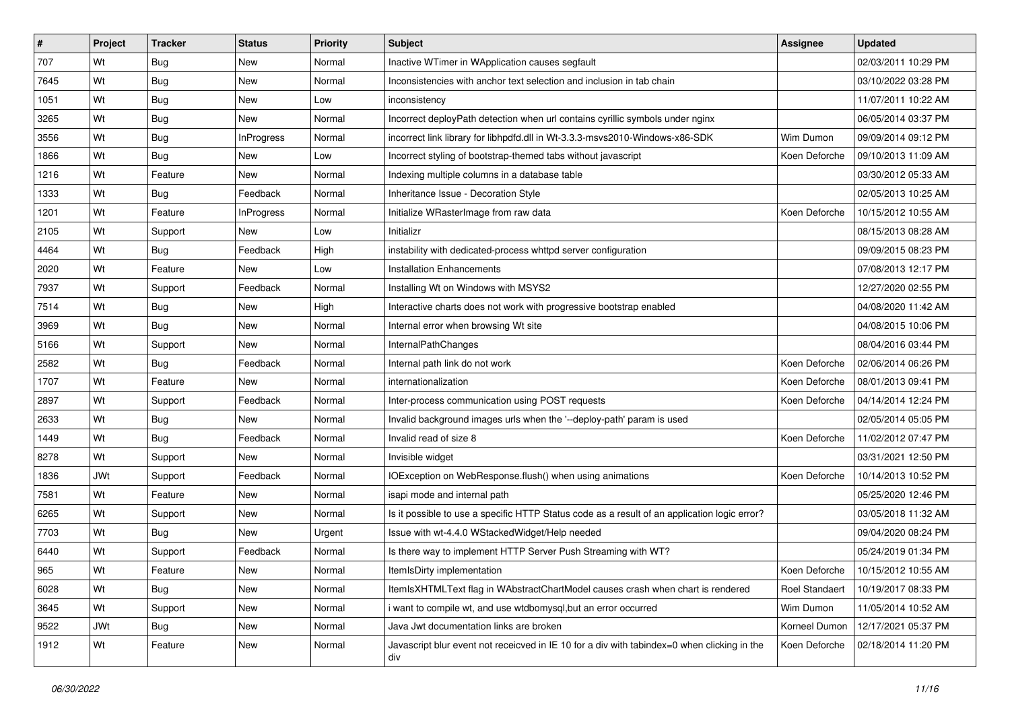| #    | Project    | <b>Tracker</b> | <b>Status</b>     | <b>Priority</b> | Subject                                                                                            | Assignee              | <b>Updated</b>      |
|------|------------|----------------|-------------------|-----------------|----------------------------------------------------------------------------------------------------|-----------------------|---------------------|
| 707  | Wt         | Bug            | New               | Normal          | Inactive WTimer in WApplication causes segfault                                                    |                       | 02/03/2011 10:29 PM |
| 7645 | Wt         | Bug            | New               | Normal          | Inconsistencies with anchor text selection and inclusion in tab chain                              |                       | 03/10/2022 03:28 PM |
| 1051 | Wt         | Bug            | New               | Low             | inconsistency                                                                                      |                       | 11/07/2011 10:22 AM |
| 3265 | Wt         | Bug            | New               | Normal          | Incorrect deployPath detection when url contains cyrillic symbols under nginx                      |                       | 06/05/2014 03:37 PM |
| 3556 | Wt         | Bug            | <b>InProgress</b> | Normal          | incorrect link library for libhpdfd.dll in Wt-3.3.3-msvs2010-Windows-x86-SDK                       | Wim Dumon             | 09/09/2014 09:12 PM |
| 1866 | Wt         | Bug            | New               | Low             | Incorrect styling of bootstrap-themed tabs without javascript                                      | Koen Deforche         | 09/10/2013 11:09 AM |
| 1216 | Wt         | Feature        | New               | Normal          | Indexing multiple columns in a database table                                                      |                       | 03/30/2012 05:33 AM |
| 1333 | Wt         | Bug            | Feedback          | Normal          | Inheritance Issue - Decoration Style                                                               |                       | 02/05/2013 10:25 AM |
| 1201 | Wt         | Feature        | <b>InProgress</b> | Normal          | Initialize WRasterImage from raw data                                                              | Koen Deforche         | 10/15/2012 10:55 AM |
| 2105 | Wt         | Support        | New               | Low             | Initializr                                                                                         |                       | 08/15/2013 08:28 AM |
| 4464 | Wt         | Bug            | Feedback          | High            | instability with dedicated-process whttpd server configuration                                     |                       | 09/09/2015 08:23 PM |
| 2020 | Wt         | Feature        | New               | Low             | <b>Installation Enhancements</b>                                                                   |                       | 07/08/2013 12:17 PM |
| 7937 | Wt         | Support        | Feedback          | Normal          | Installing Wt on Windows with MSYS2                                                                |                       | 12/27/2020 02:55 PM |
| 7514 | Wt         | Bug            | New               | High            | Interactive charts does not work with progressive bootstrap enabled                                |                       | 04/08/2020 11:42 AM |
| 3969 | Wt         | Bug            | <b>New</b>        | Normal          | Internal error when browsing Wt site                                                               |                       | 04/08/2015 10:06 PM |
| 5166 | Wt         | Support        | New               | Normal          | <b>InternalPathChanges</b>                                                                         |                       | 08/04/2016 03:44 PM |
| 2582 | Wt         | Bug            | Feedback          | Normal          | Internal path link do not work                                                                     | Koen Deforche         | 02/06/2014 06:26 PM |
| 1707 | Wt         | Feature        | <b>New</b>        | Normal          | internationalization                                                                               | Koen Deforche         | 08/01/2013 09:41 PM |
| 2897 | Wt         | Support        | Feedback          | Normal          | Inter-process communication using POST requests                                                    | Koen Deforche         | 04/14/2014 12:24 PM |
| 2633 | Wt         | Bug            | <b>New</b>        | Normal          | Invalid background images urls when the '--deploy-path' param is used                              |                       | 02/05/2014 05:05 PM |
| 1449 | Wt         | Bug            | Feedback          | Normal          | Invalid read of size 8                                                                             | Koen Deforche         | 11/02/2012 07:47 PM |
| 8278 | Wt         | Support        | <b>New</b>        | Normal          | Invisible widget                                                                                   |                       | 03/31/2021 12:50 PM |
| 1836 | <b>JWt</b> | Support        | Feedback          | Normal          | IOException on WebResponse.flush() when using animations                                           | Koen Deforche         | 10/14/2013 10:52 PM |
| 7581 | Wt         | Feature        | New               | Normal          | isapi mode and internal path                                                                       |                       | 05/25/2020 12:46 PM |
| 6265 | Wt         | Support        | New               | Normal          | Is it possible to use a specific HTTP Status code as a result of an application logic error?       |                       | 03/05/2018 11:32 AM |
| 7703 | Wt         | Bug            | <b>New</b>        | Urgent          | Issue with wt-4.4.0 WStackedWidget/Help needed                                                     |                       | 09/04/2020 08:24 PM |
| 6440 | Wt         | Support        | Feedback          | Normal          | Is there way to implement HTTP Server Push Streaming with WT?                                      |                       | 05/24/2019 01:34 PM |
| 965  | Wt         | Feature        | New               | Normal          | ItemIsDirty implementation                                                                         | Koen Deforche         | 10/15/2012 10:55 AM |
| 6028 | Wt         | Bug            | New               | Normal          | ItemIsXHTMLText flag in WAbstractChartModel causes crash when chart is rendered                    | <b>Roel Standaert</b> | 10/19/2017 08:33 PM |
| 3645 | Wt         | Support        | New               | Normal          | i want to compile wt, and use wtdbomysql,but an error occurred                                     | Wim Dumon             | 11/05/2014 10:52 AM |
| 9522 | JWt        | Bug            | New               | Normal          | Java Jwt documentation links are broken                                                            | Korneel Dumon         | 12/17/2021 05:37 PM |
| 1912 | Wt         | Feature        | New               | Normal          | Javascript blur event not receicved in IE 10 for a div with tabindex=0 when clicking in the<br>div | Koen Deforche         | 02/18/2014 11:20 PM |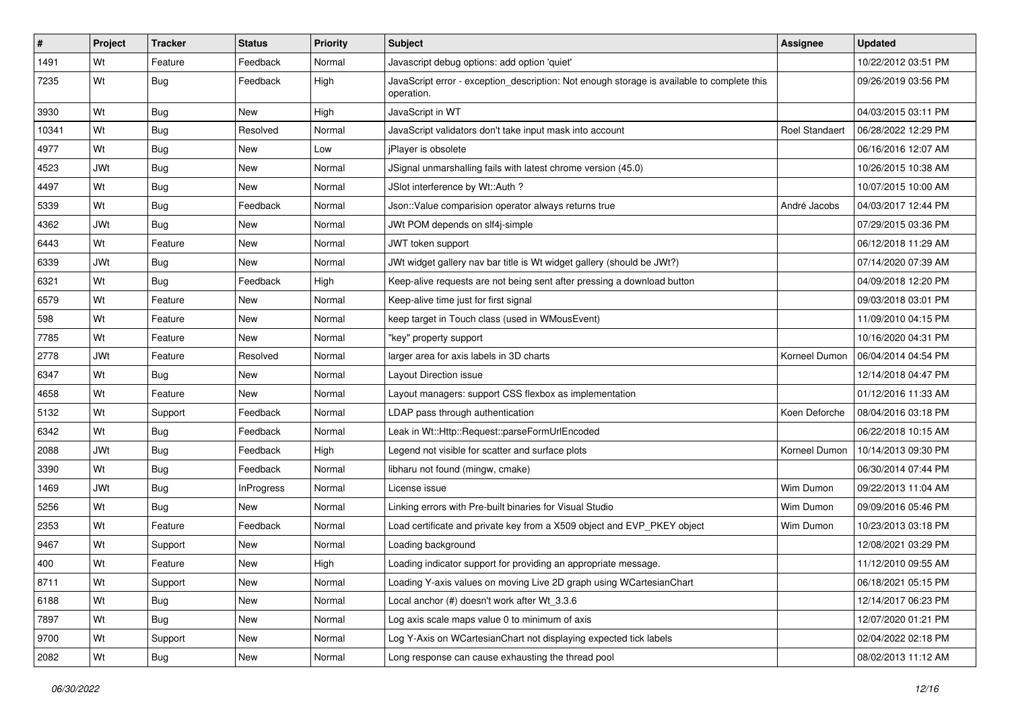| $\sharp$ | Project    | <b>Tracker</b> | <b>Status</b> | Priority | <b>Subject</b>                                                                                           | <b>Assignee</b>       | <b>Updated</b>      |
|----------|------------|----------------|---------------|----------|----------------------------------------------------------------------------------------------------------|-----------------------|---------------------|
| 1491     | Wt         | Feature        | Feedback      | Normal   | Javascript debug options: add option 'quiet'                                                             |                       | 10/22/2012 03:51 PM |
| 7235     | Wt         | Bug            | Feedback      | High     | JavaScript error - exception_description: Not enough storage is available to complete this<br>operation. |                       | 09/26/2019 03:56 PM |
| 3930     | Wt         | Bug            | <b>New</b>    | High     | JavaScript in WT                                                                                         |                       | 04/03/2015 03:11 PM |
| 10341    | Wt         | Bug            | Resolved      | Normal   | JavaScript validators don't take input mask into account                                                 | <b>Roel Standaert</b> | 06/28/2022 12:29 PM |
| 4977     | Wt         | Bug            | New           | Low      | jPlayer is obsolete                                                                                      |                       | 06/16/2016 12:07 AM |
| 4523     | <b>JWt</b> | Bug            | New           | Normal   | JSignal unmarshalling fails with latest chrome version (45.0)                                            |                       | 10/26/2015 10:38 AM |
| 4497     | Wt         | Bug            | <b>New</b>    | Normal   | JSlot interference by Wt::Auth ?                                                                         |                       | 10/07/2015 10:00 AM |
| 5339     | Wt         | Bug            | Feedback      | Normal   | Json:: Value comparision operator always returns true                                                    | André Jacobs          | 04/03/2017 12:44 PM |
| 4362     | <b>JWt</b> | Bug            | <b>New</b>    | Normal   | JWt POM depends on slf4j-simple                                                                          |                       | 07/29/2015 03:36 PM |
| 6443     | Wt         | Feature        | New           | Normal   | JWT token support                                                                                        |                       | 06/12/2018 11:29 AM |
| 6339     | <b>JWt</b> | Bug            | New           | Normal   | JWt widget gallery nav bar title is Wt widget gallery (should be JWt?)                                   |                       | 07/14/2020 07:39 AM |
| 6321     | Wt         | Bug            | Feedback      | High     | Keep-alive requests are not being sent after pressing a download button                                  |                       | 04/09/2018 12:20 PM |
| 6579     | Wt         | Feature        | New           | Normal   | Keep-alive time just for first signal                                                                    |                       | 09/03/2018 03:01 PM |
| 598      | Wt         | Feature        | New           | Normal   | keep target in Touch class (used in WMousEvent)                                                          |                       | 11/09/2010 04:15 PM |
| 7785     | Wt         | Feature        | New           | Normal   | "key" property support                                                                                   |                       | 10/16/2020 04:31 PM |
| 2778     | <b>JWt</b> | Feature        | Resolved      | Normal   | larger area for axis labels in 3D charts                                                                 | Korneel Dumon         | 06/04/2014 04:54 PM |
| 6347     | Wt         | Bug            | <b>New</b>    | Normal   | Layout Direction issue                                                                                   |                       | 12/14/2018 04:47 PM |
| 4658     | Wt         | Feature        | New           | Normal   | Layout managers: support CSS flexbox as implementation                                                   |                       | 01/12/2016 11:33 AM |
| 5132     | Wt         | Support        | Feedback      | Normal   | LDAP pass through authentication                                                                         | Koen Deforche         | 08/04/2016 03:18 PM |
| 6342     | Wt         | Bug            | Feedback      | Normal   | Leak in Wt::Http::Request::parseFormUrlEncoded                                                           |                       | 06/22/2018 10:15 AM |
| 2088     | <b>JWt</b> | Bug            | Feedback      | High     | Legend not visible for scatter and surface plots                                                         | Korneel Dumon         | 10/14/2013 09:30 PM |
| 3390     | Wt         | Bug            | Feedback      | Normal   | libharu not found (mingw, cmake)                                                                         |                       | 06/30/2014 07:44 PM |
| 1469     | JWt        | Bug            | InProgress    | Normal   | License issue                                                                                            | Wim Dumon             | 09/22/2013 11:04 AM |
| 5256     | Wt         | Bug            | New           | Normal   | Linking errors with Pre-built binaries for Visual Studio                                                 | Wim Dumon             | 09/09/2016 05:46 PM |
| 2353     | Wt         | Feature        | Feedback      | Normal   | Load certificate and private key from a X509 object and EVP_PKEY object                                  | Wim Dumon             | 10/23/2013 03:18 PM |
| 9467     | Wt         | Support        | New           | Normal   | Loading background                                                                                       |                       | 12/08/2021 03:29 PM |
| 400      | Wt         | Feature        | New           | High     | Loading indicator support for providing an appropriate message.                                          |                       | 11/12/2010 09:55 AM |
| 8711     | Wt         | Support        | New           | Normal   | Loading Y-axis values on moving Live 2D graph using WCartesianChart                                      |                       | 06/18/2021 05:15 PM |
| 6188     | Wt         | Bug            | New           | Normal   | Local anchor (#) doesn't work after Wt_3.3.6                                                             |                       | 12/14/2017 06:23 PM |
| 7897     | Wt         | Bug            | New           | Normal   | Log axis scale maps value 0 to minimum of axis                                                           |                       | 12/07/2020 01:21 PM |
| 9700     | Wt         | Support        | New           | Normal   | Log Y-Axis on WCartesianChart not displaying expected tick labels                                        |                       | 02/04/2022 02:18 PM |
| 2082     | Wt         | <b>Bug</b>     | New           | Normal   | Long response can cause exhausting the thread pool                                                       |                       | 08/02/2013 11:12 AM |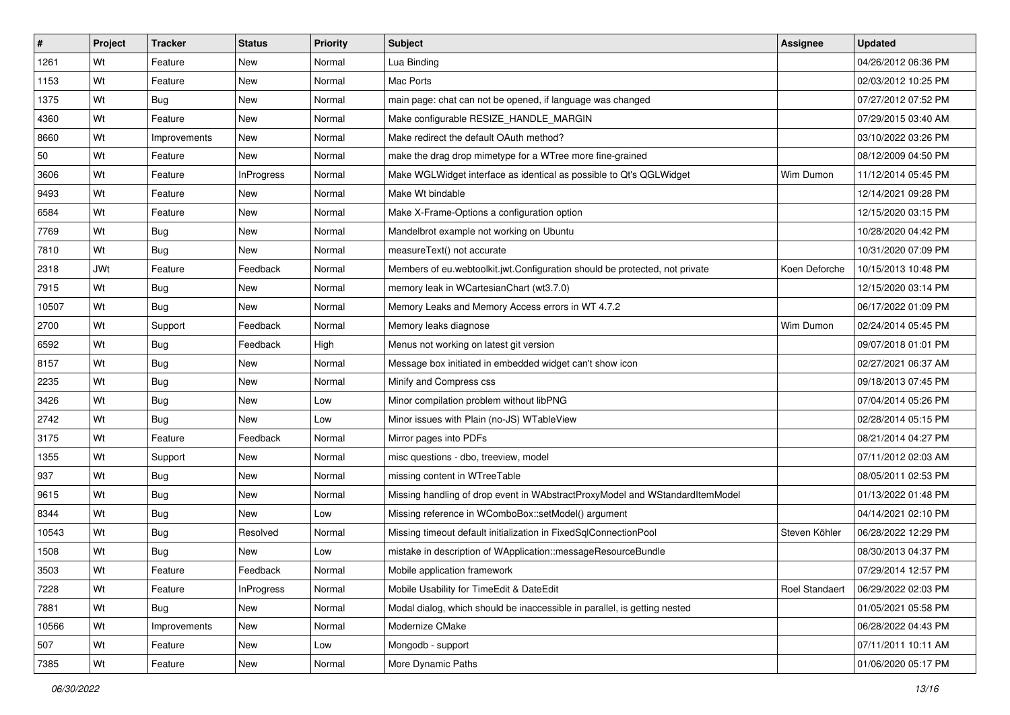| #     | Project    | <b>Tracker</b> | <b>Status</b>     | Priority | <b>Subject</b>                                                               | <b>Assignee</b>       | <b>Updated</b>      |
|-------|------------|----------------|-------------------|----------|------------------------------------------------------------------------------|-----------------------|---------------------|
| 1261  | Wt         | Feature        | New               | Normal   | Lua Binding                                                                  |                       | 04/26/2012 06:36 PM |
| 1153  | Wt         | Feature        | <b>New</b>        | Normal   | Mac Ports                                                                    |                       | 02/03/2012 10:25 PM |
| 1375  | Wt         | Bug            | New               | Normal   | main page: chat can not be opened, if language was changed                   |                       | 07/27/2012 07:52 PM |
| 4360  | Wt         | Feature        | New               | Normal   | Make configurable RESIZE_HANDLE_MARGIN                                       |                       | 07/29/2015 03:40 AM |
| 8660  | Wt         | Improvements   | <b>New</b>        | Normal   | Make redirect the default OAuth method?                                      |                       | 03/10/2022 03:26 PM |
| 50    | Wt         | Feature        | New               | Normal   | make the drag drop mimetype for a WTree more fine-grained                    |                       | 08/12/2009 04:50 PM |
| 3606  | Wt         | Feature        | <b>InProgress</b> | Normal   | Make WGLWidget interface as identical as possible to Qt's QGLWidget          | Wim Dumon             | 11/12/2014 05:45 PM |
| 9493  | Wt         | Feature        | <b>New</b>        | Normal   | Make Wt bindable                                                             |                       | 12/14/2021 09:28 PM |
| 6584  | Wt         | Feature        | <b>New</b>        | Normal   | Make X-Frame-Options a configuration option                                  |                       | 12/15/2020 03:15 PM |
| 7769  | Wt         | Bug            | New               | Normal   | Mandelbrot example not working on Ubuntu                                     |                       | 10/28/2020 04:42 PM |
| 7810  | Wt         | Bug            | New               | Normal   | measureText() not accurate                                                   |                       | 10/31/2020 07:09 PM |
| 2318  | <b>JWt</b> | Feature        | Feedback          | Normal   | Members of eu.webtoolkit.jwt.Configuration should be protected, not private  | Koen Deforche         | 10/15/2013 10:48 PM |
| 7915  | Wt         | Bug            | <b>New</b>        | Normal   | memory leak in WCartesianChart (wt3.7.0)                                     |                       | 12/15/2020 03:14 PM |
| 10507 | Wt         | Bug            | New               | Normal   | Memory Leaks and Memory Access errors in WT 4.7.2                            |                       | 06/17/2022 01:09 PM |
| 2700  | Wt         | Support        | Feedback          | Normal   | Memory leaks diagnose                                                        | Wim Dumon             | 02/24/2014 05:45 PM |
| 6592  | Wt         | Bug            | Feedback          | High     | Menus not working on latest git version                                      |                       | 09/07/2018 01:01 PM |
| 8157  | Wt         | Bug            | <b>New</b>        | Normal   | Message box initiated in embedded widget can't show icon                     |                       | 02/27/2021 06:37 AM |
| 2235  | Wt         | Bug            | <b>New</b>        | Normal   | Minify and Compress css                                                      |                       | 09/18/2013 07:45 PM |
| 3426  | Wt         | Bug            | New               | Low      | Minor compilation problem without libPNG                                     |                       | 07/04/2014 05:26 PM |
| 2742  | Wt         | Bug            | New               | Low      | Minor issues with Plain (no-JS) WTableView                                   |                       | 02/28/2014 05:15 PM |
| 3175  | Wt         | Feature        | Feedback          | Normal   | Mirror pages into PDFs                                                       |                       | 08/21/2014 04:27 PM |
| 1355  | Wt         | Support        | <b>New</b>        | Normal   | misc questions - dbo, treeview, model                                        |                       | 07/11/2012 02:03 AM |
| 937   | Wt         | <b>Bug</b>     | <b>New</b>        | Normal   | missing content in WTreeTable                                                |                       | 08/05/2011 02:53 PM |
| 9615  | Wt         | <b>Bug</b>     | New               | Normal   | Missing handling of drop event in WAbstractProxyModel and WStandardItemModel |                       | 01/13/2022 01:48 PM |
| 8344  | Wt         | <b>Bug</b>     | New               | Low      | Missing reference in WComboBox::setModel() argument                          |                       | 04/14/2021 02:10 PM |
| 10543 | Wt         | Bug            | Resolved          | Normal   | Missing timeout default initialization in FixedSqlConnectionPool             | Steven Köhler         | 06/28/2022 12:29 PM |
| 1508  | Wt         | Bug            | New               | Low      | mistake in description of WApplication::messageResourceBundle                |                       | 08/30/2013 04:37 PM |
| 3503  | Wt         | Feature        | Feedback          | Normal   | Mobile application framework                                                 |                       | 07/29/2014 12:57 PM |
| 7228  | Wt         | Feature        | InProgress        | Normal   | Mobile Usability for TimeEdit & DateEdit                                     | <b>Roel Standaert</b> | 06/29/2022 02:03 PM |
| 7881  | Wt         | <b>Bug</b>     | New               | Normal   | Modal dialog, which should be inaccessible in parallel, is getting nested    |                       | 01/05/2021 05:58 PM |
| 10566 | Wt         | Improvements   | New               | Normal   | Modernize CMake                                                              |                       | 06/28/2022 04:43 PM |
| 507   | Wt         | Feature        | New               | Low      | Mongodb - support                                                            |                       | 07/11/2011 10:11 AM |
| 7385  | Wt         | Feature        | New               | Normal   | More Dynamic Paths                                                           |                       | 01/06/2020 05:17 PM |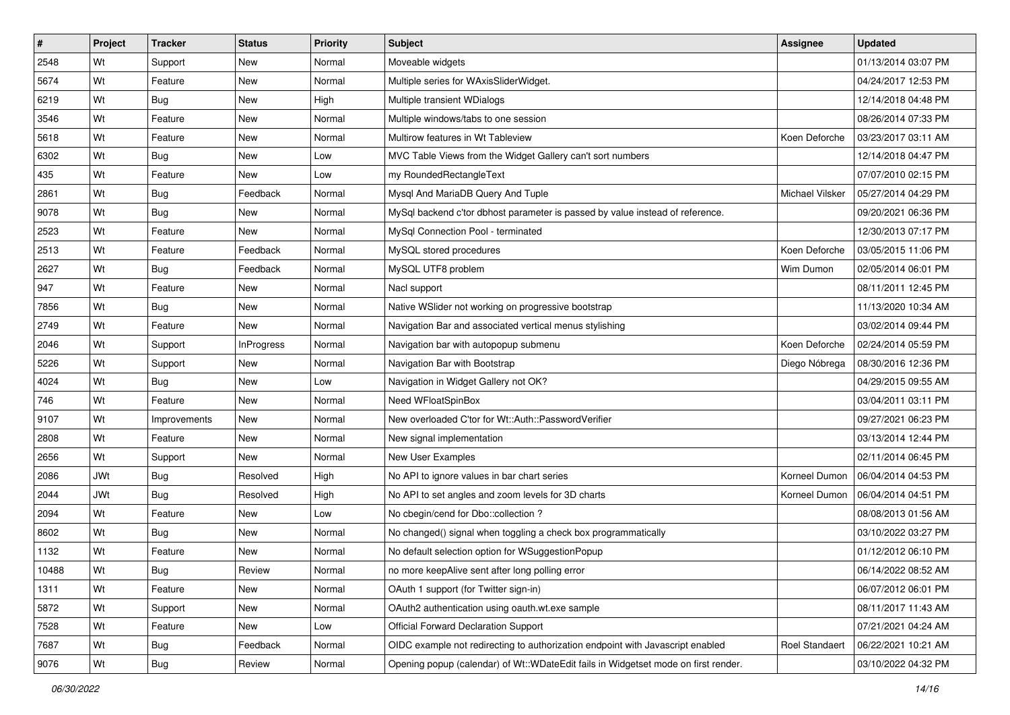| #     | Project    | <b>Tracker</b> | <b>Status</b> | Priority | <b>Subject</b>                                                                     | <b>Assignee</b>        | <b>Updated</b>      |
|-------|------------|----------------|---------------|----------|------------------------------------------------------------------------------------|------------------------|---------------------|
| 2548  | Wt         | Support        | New           | Normal   | Moveable widgets                                                                   |                        | 01/13/2014 03:07 PM |
| 5674  | Wt         | Feature        | <b>New</b>    | Normal   | Multiple series for WAxisSliderWidget.                                             |                        | 04/24/2017 12:53 PM |
| 6219  | Wt         | Bug            | New           | High     | Multiple transient WDialogs                                                        |                        | 12/14/2018 04:48 PM |
| 3546  | Wt         | Feature        | New           | Normal   | Multiple windows/tabs to one session                                               |                        | 08/26/2014 07:33 PM |
| 5618  | Wt         | Feature        | <b>New</b>    | Normal   | Multirow features in Wt Tableview                                                  | Koen Deforche          | 03/23/2017 03:11 AM |
| 6302  | Wt         | Bug            | New           | Low      | MVC Table Views from the Widget Gallery can't sort numbers                         |                        | 12/14/2018 04:47 PM |
| 435   | Wt         | Feature        | New           | Low      | my RoundedRectangleText                                                            |                        | 07/07/2010 02:15 PM |
| 2861  | Wt         | Bug            | Feedback      | Normal   | Mysql And MariaDB Query And Tuple                                                  | <b>Michael Vilsker</b> | 05/27/2014 04:29 PM |
| 9078  | Wt         | Bug            | <b>New</b>    | Normal   | MySql backend c'tor dbhost parameter is passed by value instead of reference.      |                        | 09/20/2021 06:36 PM |
| 2523  | Wt         | Feature        | <b>New</b>    | Normal   | MySql Connection Pool - terminated                                                 |                        | 12/30/2013 07:17 PM |
| 2513  | Wt         | Feature        | Feedback      | Normal   | MySQL stored procedures                                                            | Koen Deforche          | 03/05/2015 11:06 PM |
| 2627  | Wt         | Bug            | Feedback      | Normal   | MySQL UTF8 problem                                                                 | Wim Dumon              | 02/05/2014 06:01 PM |
| 947   | Wt         | Feature        | <b>New</b>    | Normal   | Nacl support                                                                       |                        | 08/11/2011 12:45 PM |
| 7856  | Wt         | Bug            | New           | Normal   | Native WSIider not working on progressive bootstrap                                |                        | 11/13/2020 10:34 AM |
| 2749  | Wt         | Feature        | New           | Normal   | Navigation Bar and associated vertical menus stylishing                            |                        | 03/02/2014 09:44 PM |
| 2046  | Wt         | Support        | InProgress    | Normal   | Navigation bar with autopopup submenu                                              | Koen Deforche          | 02/24/2014 05:59 PM |
| 5226  | Wt         | Support        | <b>New</b>    | Normal   | Navigation Bar with Bootstrap                                                      | Diego Nóbrega          | 08/30/2016 12:36 PM |
| 4024  | Wt         | Bug            | <b>New</b>    | Low      | Navigation in Widget Gallery not OK?                                               |                        | 04/29/2015 09:55 AM |
| 746   | Wt         | Feature        | New           | Normal   | Need WFloatSpinBox                                                                 |                        | 03/04/2011 03:11 PM |
| 9107  | Wt         | Improvements   | <b>New</b>    | Normal   | New overloaded C'tor for Wt::Auth::PasswordVerifier                                |                        | 09/27/2021 06:23 PM |
| 2808  | Wt         | Feature        | New           | Normal   | New signal implementation                                                          |                        | 03/13/2014 12:44 PM |
| 2656  | Wt         | Support        | <b>New</b>    | Normal   | New User Examples                                                                  |                        | 02/11/2014 06:45 PM |
| 2086  | <b>JWt</b> | Bug            | Resolved      | High     | No API to ignore values in bar chart series                                        | Korneel Dumon          | 06/04/2014 04:53 PM |
| 2044  | <b>JWt</b> | <b>Bug</b>     | Resolved      | High     | No API to set angles and zoom levels for 3D charts                                 | Korneel Dumon          | 06/04/2014 04:51 PM |
| 2094  | Wt         | Feature        | New           | Low      | No cbegin/cend for Dbo::collection ?                                               |                        | 08/08/2013 01:56 AM |
| 8602  | Wt         | Bug            | <b>New</b>    | Normal   | No changed() signal when toggling a check box programmatically                     |                        | 03/10/2022 03:27 PM |
| 1132  | Wt         | Feature        | New           | Normal   | No default selection option for WSuggestionPopup                                   |                        | 01/12/2012 06:10 PM |
| 10488 | Wt         | <b>Bug</b>     | Review        | Normal   | no more keepAlive sent after long polling error                                    |                        | 06/14/2022 08:52 AM |
| 1311  | Wt         | Feature        | New           | Normal   | OAuth 1 support (for Twitter sign-in)                                              |                        | 06/07/2012 06:01 PM |
| 5872  | Wt         | Support        | New           | Normal   | OAuth2 authentication using oauth.wt.exe sample                                    |                        | 08/11/2017 11:43 AM |
| 7528  | Wt         | Feature        | New           | Low      | <b>Official Forward Declaration Support</b>                                        |                        | 07/21/2021 04:24 AM |
| 7687  | Wt         | <b>Bug</b>     | Feedback      | Normal   | OIDC example not redirecting to authorization endpoint with Javascript enabled     | Roel Standaert         | 06/22/2021 10:21 AM |
| 9076  | Wt         | Bug            | Review        | Normal   | Opening popup (calendar) of Wt::WDateEdit fails in Widgetset mode on first render. |                        | 03/10/2022 04:32 PM |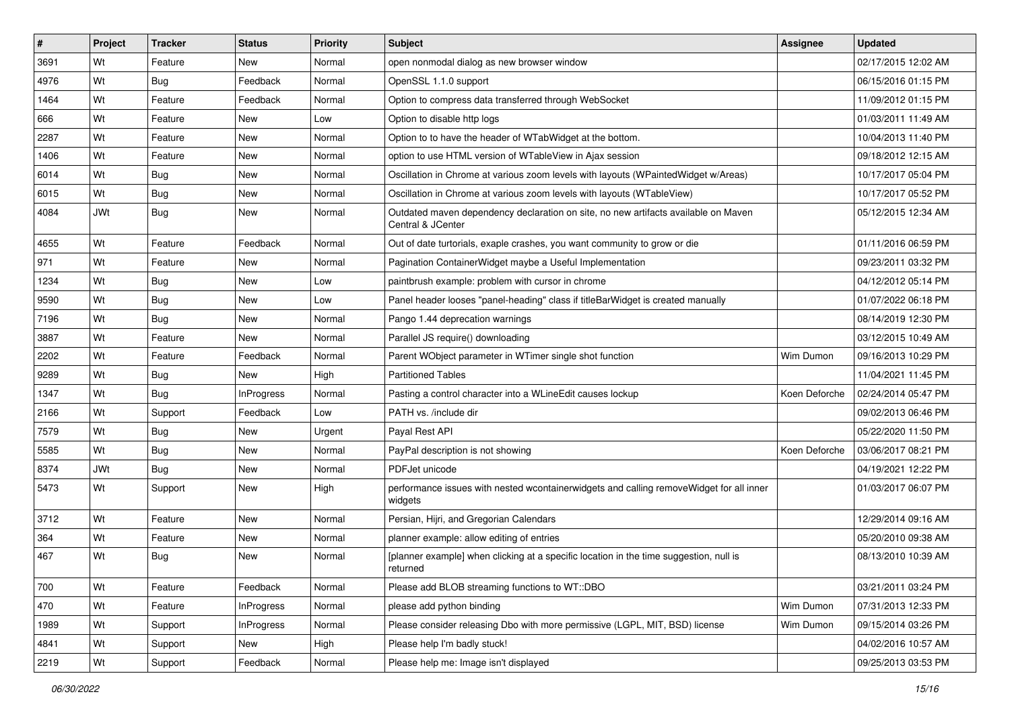| #    | Project    | <b>Tracker</b> | <b>Status</b>     | Priority | <b>Subject</b>                                                                                          | <b>Assignee</b> | <b>Updated</b>      |
|------|------------|----------------|-------------------|----------|---------------------------------------------------------------------------------------------------------|-----------------|---------------------|
| 3691 | Wt         | Feature        | New               | Normal   | open nonmodal dialog as new browser window                                                              |                 | 02/17/2015 12:02 AM |
| 4976 | Wt         | Bug            | Feedback          | Normal   | OpenSSL 1.1.0 support                                                                                   |                 | 06/15/2016 01:15 PM |
| 1464 | Wt         | Feature        | Feedback          | Normal   | Option to compress data transferred through WebSocket                                                   |                 | 11/09/2012 01:15 PM |
| 666  | Wt         | Feature        | <b>New</b>        | Low      | Option to disable http logs                                                                             |                 | 01/03/2011 11:49 AM |
| 2287 | Wt         | Feature        | <b>New</b>        | Normal   | Option to to have the header of WTabWidget at the bottom.                                               |                 | 10/04/2013 11:40 PM |
| 1406 | Wt         | Feature        | New               | Normal   | option to use HTML version of WTableView in Ajax session                                                |                 | 09/18/2012 12:15 AM |
| 6014 | Wt         | Bug            | New               | Normal   | Oscillation in Chrome at various zoom levels with layouts (WPaintedWidget w/Areas)                      |                 | 10/17/2017 05:04 PM |
| 6015 | Wt         | Bug            | New               | Normal   | Oscillation in Chrome at various zoom levels with layouts (WTableView)                                  |                 | 10/17/2017 05:52 PM |
| 4084 | <b>JWt</b> | Bug            | <b>New</b>        | Normal   | Outdated maven dependency declaration on site, no new artifacts available on Maven<br>Central & JCenter |                 | 05/12/2015 12:34 AM |
| 4655 | Wt         | Feature        | Feedback          | Normal   | Out of date turtorials, exaple crashes, you want community to grow or die                               |                 | 01/11/2016 06:59 PM |
| 971  | Wt         | Feature        | <b>New</b>        | Normal   | Pagination ContainerWidget maybe a Useful Implementation                                                |                 | 09/23/2011 03:32 PM |
| 1234 | Wt         | Bug            | <b>New</b>        | Low      | paintbrush example: problem with cursor in chrome                                                       |                 | 04/12/2012 05:14 PM |
| 9590 | Wt         | Bug            | New               | Low      | Panel header looses "panel-heading" class if titleBarWidget is created manually                         |                 | 01/07/2022 06:18 PM |
| 7196 | Wt         | Bug            | New               | Normal   | Pango 1.44 deprecation warnings                                                                         |                 | 08/14/2019 12:30 PM |
| 3887 | Wt         | Feature        | New               | Normal   | Parallel JS require() downloading                                                                       |                 | 03/12/2015 10:49 AM |
| 2202 | Wt         | Feature        | Feedback          | Normal   | Parent WObject parameter in WTimer single shot function                                                 | Wim Dumon       | 09/16/2013 10:29 PM |
| 9289 | Wt         | Bug            | <b>New</b>        | High     | <b>Partitioned Tables</b>                                                                               |                 | 11/04/2021 11:45 PM |
| 1347 | Wt         | Bug            | <b>InProgress</b> | Normal   | Pasting a control character into a WLineEdit causes lockup                                              | Koen Deforche   | 02/24/2014 05:47 PM |
| 2166 | Wt         | Support        | Feedback          | Low      | PATH vs. /include dir                                                                                   |                 | 09/02/2013 06:46 PM |
| 7579 | Wt         | Bug            | <b>New</b>        | Urgent   | Payal Rest API                                                                                          |                 | 05/22/2020 11:50 PM |
| 5585 | Wt         | Bug            | New               | Normal   | PayPal description is not showing                                                                       | Koen Deforche   | 03/06/2017 08:21 PM |
| 8374 | <b>JWt</b> | <b>Bug</b>     | New               | Normal   | PDFJet unicode                                                                                          |                 | 04/19/2021 12:22 PM |
| 5473 | Wt         | Support        | New               | High     | performance issues with nested wcontainerwidgets and calling removeWidget for all inner<br>widgets      |                 | 01/03/2017 06:07 PM |
| 3712 | Wt         | Feature        | <b>New</b>        | Normal   | Persian, Hijri, and Gregorian Calendars                                                                 |                 | 12/29/2014 09:16 AM |
| 364  | Wt         | Feature        | New               | Normal   | planner example: allow editing of entries                                                               |                 | 05/20/2010 09:38 AM |
| 467  | Wt         | Bug            | New               | Normal   | [planner example] when clicking at a specific location in the time suggestion, null is<br>returned      |                 | 08/13/2010 10:39 AM |
| 700  | Wt         | Feature        | Feedback          | Normal   | Please add BLOB streaming functions to WT::DBO                                                          |                 | 03/21/2011 03:24 PM |
| 470  | Wt         | Feature        | InProgress        | Normal   | please add python binding                                                                               | Wim Dumon       | 07/31/2013 12:33 PM |
| 1989 | Wt         | Support        | InProgress        | Normal   | Please consider releasing Dbo with more permissive (LGPL, MIT, BSD) license                             | Wim Dumon       | 09/15/2014 03:26 PM |
| 4841 | Wt         | Support        | New               | High     | Please help I'm badly stuck!                                                                            |                 | 04/02/2016 10:57 AM |
| 2219 | Wt         | Support        | Feedback          | Normal   | Please help me: Image isn't displayed                                                                   |                 | 09/25/2013 03:53 PM |